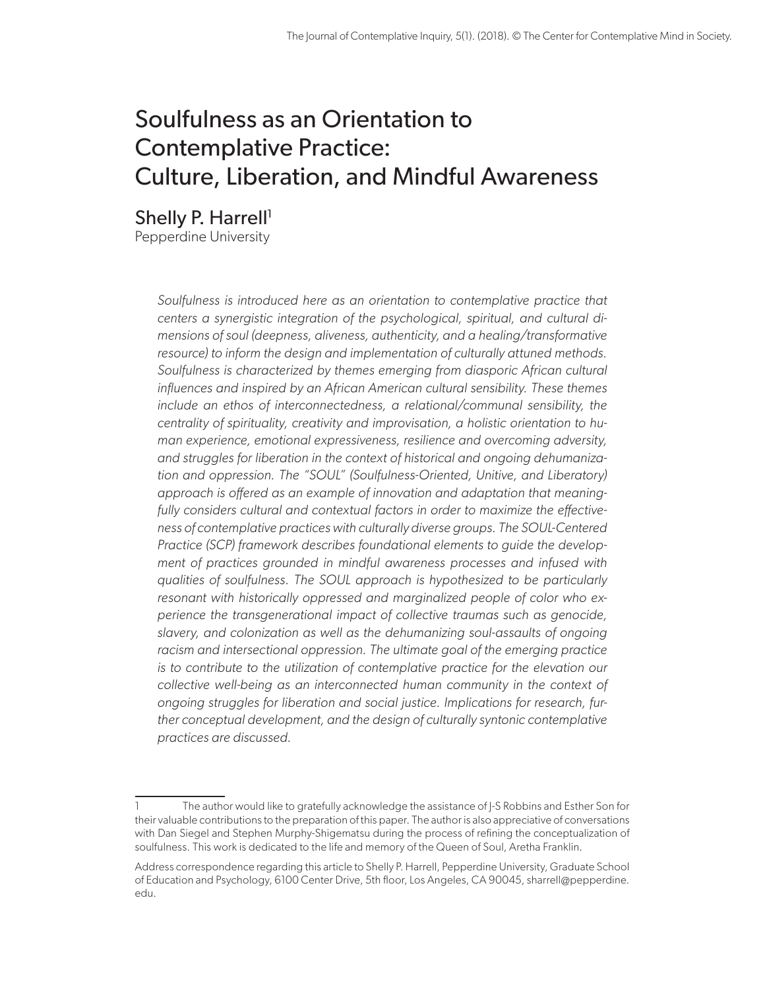# Soulfulness as an Orientation to Contemplative Practice: Culture, Liberation, and Mindful Awareness

Shelly P. Harrell<sup>1</sup>

Pepperdine University

*Soulfulness is introduced here as an orientation to contemplative practice that centers a synergistic integration of the psychological, spiritual, and cultural dimensions of soul (deepness, aliveness, authenticity, and a healing/transformative resource) to inform the design and implementation of culturally attuned methods. Soulfulness is characterized by themes emerging from diasporic African cultural influences and inspired by an African American cultural sensibility. These themes include an ethos of interconnectedness, a relational/communal sensibility, the centrality of spirituality, creativity and improvisation, a holistic orientation to human experience, emotional expressiveness, resilience and overcoming adversity, and struggles for liberation in the context of historical and ongoing dehumanization and oppression. The "SOUL" (Soulfulness-Oriented, Unitive, and Liberatory) approach is offered as an example of innovation and adaptation that meaningfully considers cultural and contextual factors in order to maximize the effectiveness of contemplative practices with culturally diverse groups. The SOUL-Centered Practice (SCP) framework describes foundational elements to guide the development of practices grounded in mindful awareness processes and infused with qualities of soulfulness. The SOUL approach is hypothesized to be particularly resonant with historically oppressed and marginalized people of color who experience the transgenerational impact of collective traumas such as genocide, slavery, and colonization as well as the dehumanizing soul-assaults of ongoing racism and intersectional oppression. The ultimate goal of the emerging practice is to contribute to the utilization of contemplative practice for the elevation our collective well-being as an interconnected human community in the context of ongoing struggles for liberation and social justice. Implications for research, further conceptual development, and the design of culturally syntonic contemplative practices are discussed.*

<sup>1</sup> The author would like to gratefully acknowledge the assistance of J-S Robbins and Esther Son for their valuable contributions to the preparation of this paper. The author is also appreciative of conversations with Dan Siegel and Stephen Murphy-Shigematsu during the process of refining the conceptualization of soulfulness. This work is dedicated to the life and memory of the Queen of Soul, Aretha Franklin.

Address correspondence regarding this article to Shelly P. Harrell, Pepperdine University, Graduate School of Education and Psychology, 6100 Center Drive, 5th floor, Los Angeles, CA 90045, [sharrell@pepperdine.](mailto:sharrell@pepperdine.edu) [edu.](mailto:sharrell@pepperdine.edu)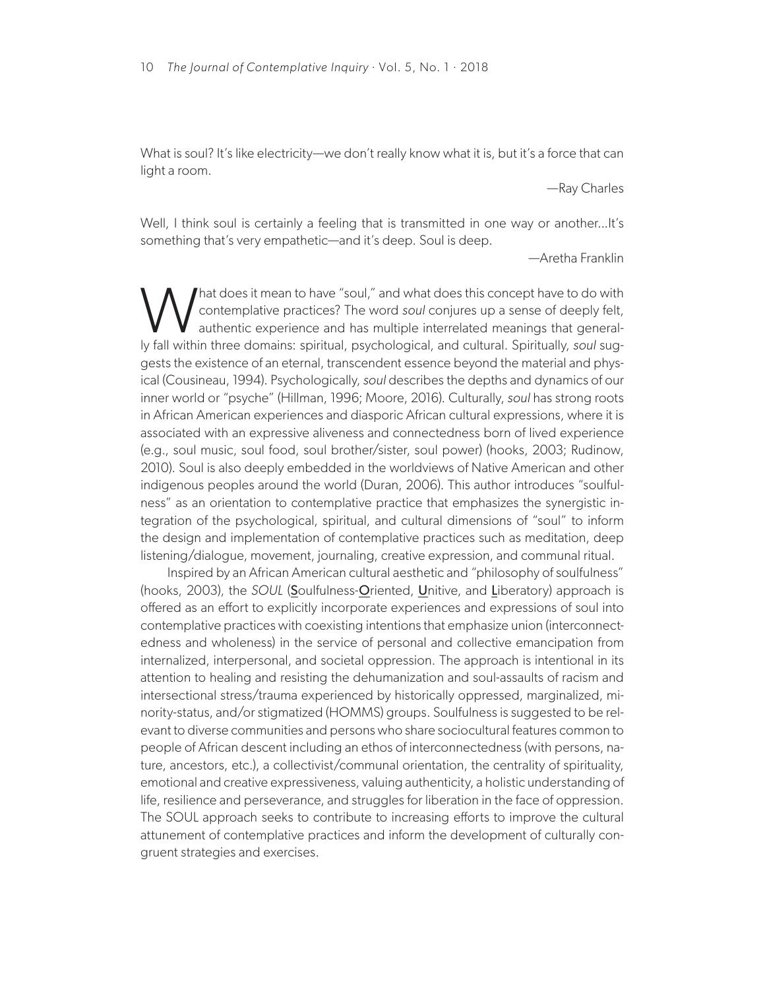What is soul? It's like electricity—we don't really know what it is, but it's a force that can light a room.

—Ray Charles

Well, I think soul is certainly a feeling that is transmitted in one way or another...It's something that's very empathetic—and it's deep. Soul is deep.

—Aretha Franklin

What does it mean to have "soul," and what does this concept have to do with<br>contemplative practices? The word soul conjures up a sense of deeply felt,<br>authentic experience and has multiple interrelated meanings that gener contemplative practices? The word *soul* conjures up a sense of deeply felt, authentic experience and has multiple interrelated meanings that generally fall within three domains: spiritual, psychological, and cultural. Spiritually, *soul* suggests the existence of an eternal, transcendent essence beyond the material and physical (Cousineau, 1994). Psychologically, *soul* describes the depths and dynamics of our inner world or "psyche" (Hillman, 1996; Moore, 2016). Culturally, *soul* has strong roots in African American experiences and diasporic African cultural expressions, where it is associated with an expressive aliveness and connectedness born of lived experience (e.g., soul music, soul food, soul brother/sister, soul power) (hooks, 2003; Rudinow, 2010). Soul is also deeply embedded in the worldviews of Native American and other indigenous peoples around the world (Duran, 2006). This author introduces "soulfulness" as an orientation to contemplative practice that emphasizes the synergistic integration of the psychological, spiritual, and cultural dimensions of "soul" to inform the design and implementation of contemplative practices such as meditation, deep listening/dialogue, movement, journaling, creative expression, and communal ritual.

Inspired by an African American cultural aesthetic and "philosophy of soulfulness" (hooks, 2003), the *SOUL* (Soulfulness-Oriented, Unitive, and Liberatory) approach is offered as an effort to explicitly incorporate experiences and expressions of soul into contemplative practices with coexisting intentions that emphasize union (interconnectedness and wholeness) in the service of personal and collective emancipation from internalized, interpersonal, and societal oppression. The approach is intentional in its attention to healing and resisting the dehumanization and soul-assaults of racism and intersectional stress/trauma experienced by historically oppressed, marginalized, minority-status, and/or stigmatized (HOMMS) groups. Soulfulness is suggested to be relevant to diverse communities and persons who share sociocultural features common to people of African descent including an ethos of interconnectedness (with persons, nature, ancestors, etc.), a collectivist/communal orientation, the centrality of spirituality, emotional and creative expressiveness, valuing authenticity, a holistic understanding of life, resilience and perseverance, and struggles for liberation in the face of oppression. The SOUL approach seeks to contribute to increasing efforts to improve the cultural attunement of contemplative practices and inform the development of culturally congruent strategies and exercises.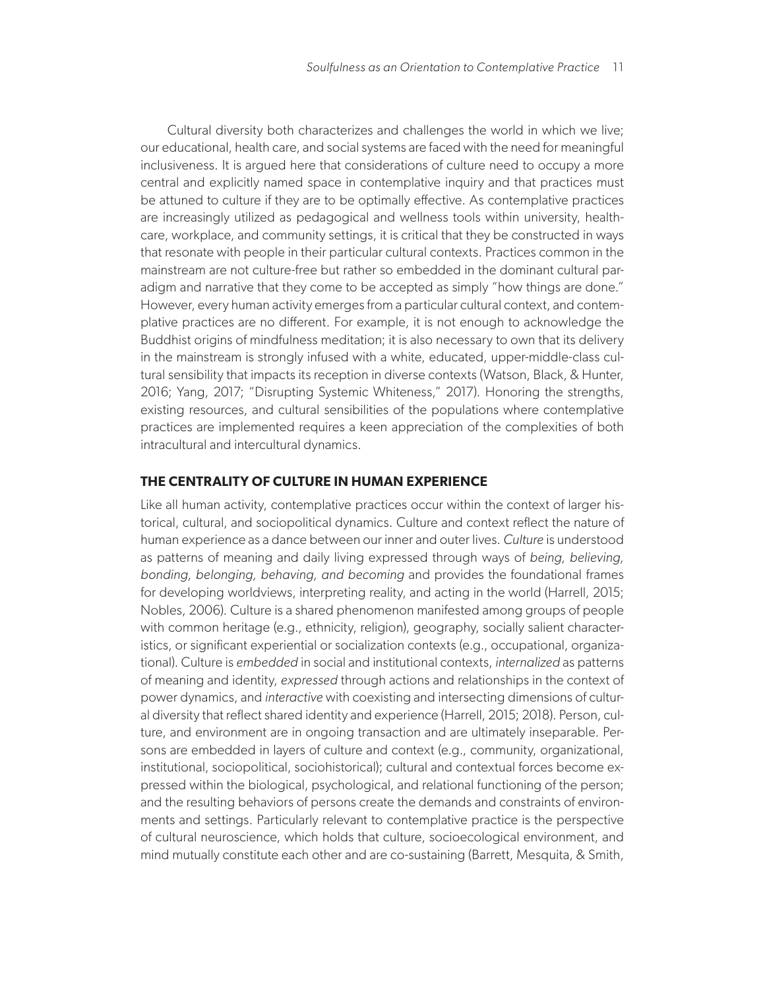Cultural diversity both characterizes and challenges the world in which we live; our educational, health care, and social systems are faced with the need for meaningful inclusiveness. It is argued here that considerations of culture need to occupy a more central and explicitly named space in contemplative inquiry and that practices must be attuned to culture if they are to be optimally effective. As contemplative practices are increasingly utilized as pedagogical and wellness tools within university, healthcare, workplace, and community settings, it is critical that they be constructed in ways that resonate with people in their particular cultural contexts. Practices common in the mainstream are not culture-free but rather so embedded in the dominant cultural paradigm and narrative that they come to be accepted as simply "how things are done." However, every human activity emerges from a particular cultural context, and contemplative practices are no different. For example, it is not enough to acknowledge the Buddhist origins of mindfulness meditation; it is also necessary to own that its delivery in the mainstream is strongly infused with a white, educated, upper-middle-class cultural sensibility that impacts its reception in diverse contexts (Watson, Black, & Hunter, 2016; Yang, 2017; "Disrupting Systemic Whiteness," 2017). Honoring the strengths, existing resources, and cultural sensibilities of the populations where contemplative practices are implemented requires a keen appreciation of the complexities of both intracultural and intercultural dynamics.

## **THE CENTRALITY OF CULTURE IN HUMAN EXPERIENCE**

Like all human activity, contemplative practices occur within the context of larger historical, cultural, and sociopolitical dynamics. Culture and context reflect the nature of human experience as a dance between our inner and outer lives. *Culture* is understood as patterns of meaning and daily living expressed through ways of *being, believing, bonding, belonging, behaving, and becoming* and provides the foundational frames for developing worldviews, interpreting reality, and acting in the world (Harrell, 2015; Nobles, 2006). Culture is a shared phenomenon manifested among groups of people with common heritage (e.g., ethnicity, religion), geography, socially salient characteristics, or significant experiential or socialization contexts (e.g., occupational, organizational). Culture is *embedded* in social and institutional contexts, *internalized* as patterns of meaning and identity, *expressed* through actions and relationships in the context of power dynamics, and *interactive* with coexisting and intersecting dimensions of cultural diversity that reflect shared identity and experience (Harrell, 2015; 2018). Person, culture, and environment are in ongoing transaction and are ultimately inseparable. Persons are embedded in layers of culture and context (e.g., community, organizational, institutional, sociopolitical, sociohistorical); cultural and contextual forces become expressed within the biological, psychological, and relational functioning of the person; and the resulting behaviors of persons create the demands and constraints of environments and settings. Particularly relevant to contemplative practice is the perspective of cultural neuroscience, which holds that culture, socioecological environment, and mind mutually constitute each other and are co-sustaining (Barrett, Mesquita, & Smith,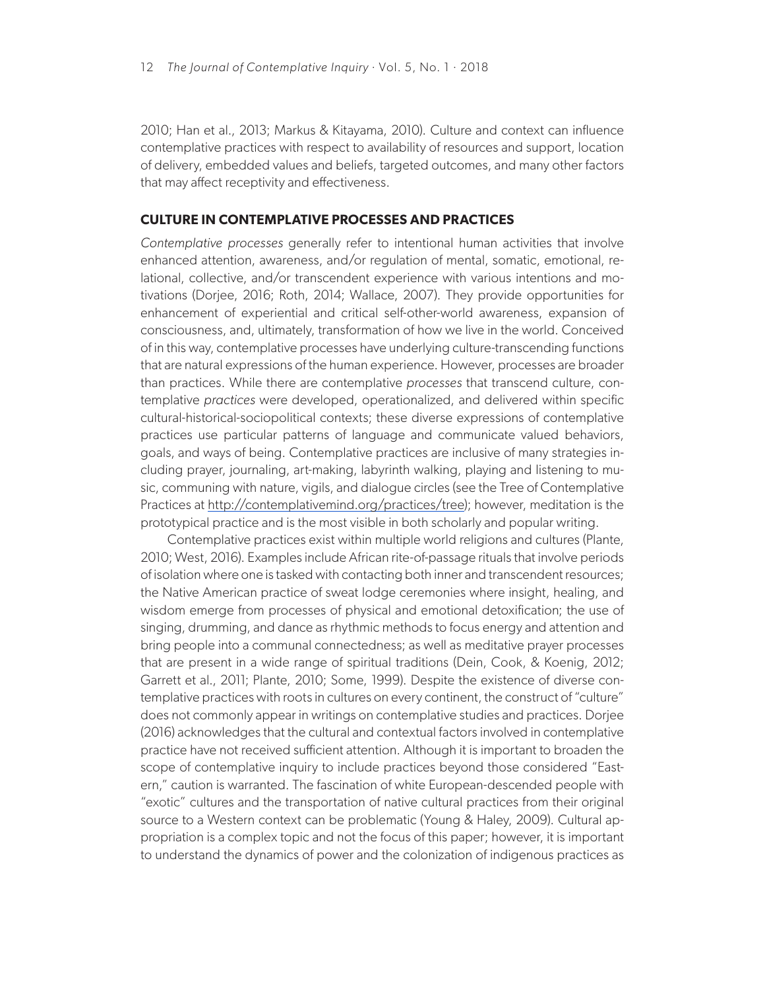2010; Han et al., 2013; Markus & Kitayama, 2010). Culture and context can influence contemplative practices with respect to availability of resources and support, location of delivery, embedded values and beliefs, targeted outcomes, and many other factors that may affect receptivity and effectiveness.

# **CULTURE IN CONTEMPLATIVE PROCESSES AND PRACTICES**

*Contemplative processes* generally refer to intentional human activities that involve enhanced attention, awareness, and/or regulation of mental, somatic, emotional, relational, collective, and/or transcendent experience with various intentions and motivations (Dorjee, 2016; Roth, 2014; Wallace, 2007). They provide opportunities for enhancement of experiential and critical self-other-world awareness, expansion of consciousness, and, ultimately, transformation of how we live in the world. Conceived of in this way, contemplative processes have underlying culture-transcending functions that are natural expressions of the human experience. However, processes are broader than practices. While there are contemplative *processes* that transcend culture, contemplative *practices* were developed, operationalized, and delivered within specific cultural-historical-sociopolitical contexts; these diverse expressions of contemplative practices use particular patterns of language and communicate valued behaviors, goals, and ways of being. Contemplative practices are inclusive of many strategies including prayer, journaling, art-making, labyrinth walking, playing and listening to music, communing with nature, vigils, and dialogue circles (see the Tree of Contemplative Practices at [http://contemplativemind.org/practices/tree\)](http://contemplativemind.org/practices/tree); however, meditation is the prototypical practice and is the most visible in both scholarly and popular writing.

Contemplative practices exist within multiple world religions and cultures (Plante, 2010; West, 2016). Examples include African rite-of-passage rituals that involve periods of isolation where one is tasked with contacting both inner and transcendent resources; the Native American practice of sweat lodge ceremonies where insight, healing, and wisdom emerge from processes of physical and emotional detoxification; the use of singing, drumming, and dance as rhythmic methods to focus energy and attention and bring people into a communal connectedness; as well as meditative prayer processes that are present in a wide range of spiritual traditions (Dein, Cook, & Koenig, 2012; Garrett et al., 2011; Plante, 2010; Some, 1999). Despite the existence of diverse contemplative practices with roots in cultures on every continent, the construct of "culture" does not commonly appear in writings on contemplative studies and practices. Dorjee (2016) acknowledges that the cultural and contextual factors involved in contemplative practice have not received sufficient attention. Although it is important to broaden the scope of contemplative inquiry to include practices beyond those considered "Eastern," caution is warranted. The fascination of white European-descended people with "exotic" cultures and the transportation of native cultural practices from their original source to a Western context can be problematic (Young & Haley, 2009). Cultural appropriation is a complex topic and not the focus of this paper; however, it is important to understand the dynamics of power and the colonization of indigenous practices as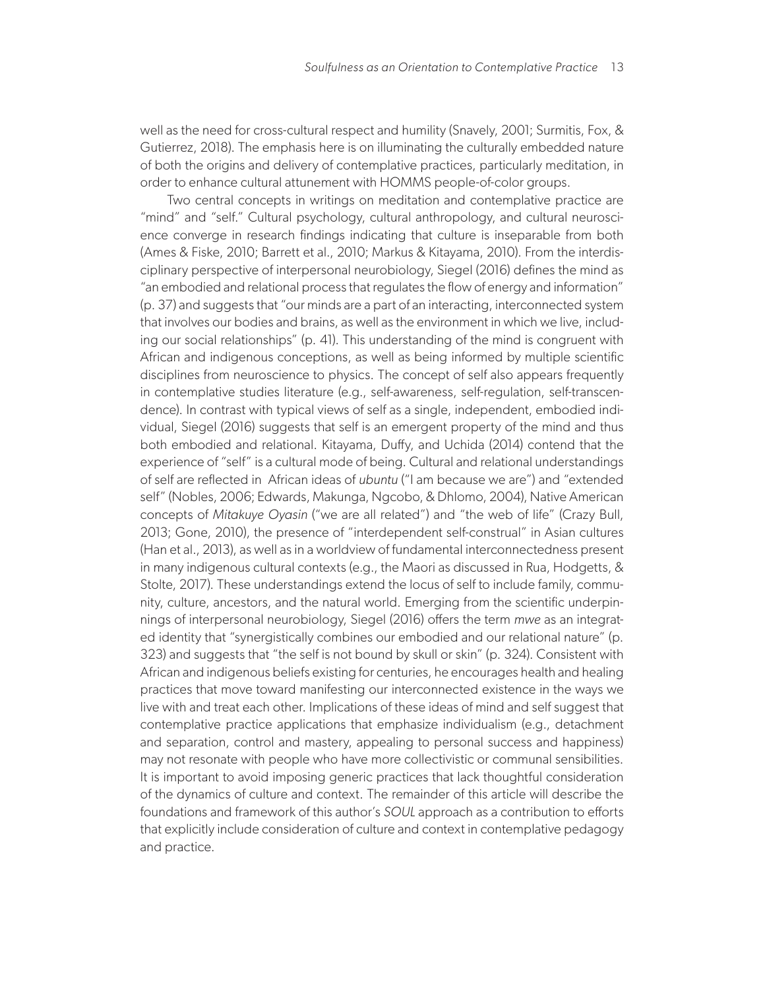well as the need for cross-cultural respect and humility (Snavely, 2001; Surmitis, Fox, & Gutierrez, 2018). The emphasis here is on illuminating the culturally embedded nature of both the origins and delivery of contemplative practices, particularly meditation, in order to enhance cultural attunement with HOMMS people-of-color groups.

Two central concepts in writings on meditation and contemplative practice are "mind" and "self." Cultural psychology, cultural anthropology, and cultural neuroscience converge in research findings indicating that culture is inseparable from both (Ames & Fiske, 2010; Barrett et al., 2010; Markus & Kitayama, 2010). From the interdisciplinary perspective of interpersonal neurobiology, Siegel (2016) defines the mind as "an embodied and relational process that regulates the flow of energy and information" (p. 37) and suggests that "our minds are a part of an interacting, interconnected system that involves our bodies and brains, as well as the environment in which we live, including our social relationships" (p. 41). This understanding of the mind is congruent with African and indigenous conceptions, as well as being informed by multiple scientific disciplines from neuroscience to physics. The concept of self also appears frequently in contemplative studies literature (e.g., self-awareness, self-regulation, self-transcendence). In contrast with typical views of self as a single, independent, embodied individual, Siegel (2016) suggests that self is an emergent property of the mind and thus both embodied and relational. Kitayama, Duffy, and Uchida (2014) contend that the experience of "self" is a cultural mode of being. Cultural and relational understandings of self are reflected in African ideas of *ubuntu* ("I am because we are") and "extended self" (Nobles, 2006; Edwards, Makunga, Ngcobo, & Dhlomo, 2004), Native American concepts of *Mitakuye Oyasin* ("we are all related") and "the web of life" (Crazy Bull, 2013; Gone, 2010), the presence of "interdependent self-construal" in Asian cultures (Han et al., 2013), as well as in a worldview of fundamental interconnectedness present in many indigenous cultural contexts (e.g., the Maori as discussed in Rua, Hodgetts, & Stolte, 2017). These understandings extend the locus of self to include family, community, culture, ancestors, and the natural world. Emerging from the scientific underpinnings of interpersonal neurobiology, Siegel (2016) offers the term *mwe* as an integrated identity that "synergistically combines our embodied and our relational nature" (p. 323) and suggests that "the self is not bound by skull or skin" (p. 324). Consistent with African and indigenous beliefs existing for centuries, he encourages health and healing practices that move toward manifesting our interconnected existence in the ways we live with and treat each other. Implications of these ideas of mind and self suggest that contemplative practice applications that emphasize individualism (e.g., detachment and separation, control and mastery, appealing to personal success and happiness) may not resonate with people who have more collectivistic or communal sensibilities. It is important to avoid imposing generic practices that lack thoughtful consideration of the dynamics of culture and context. The remainder of this article will describe the foundations and framework of this author's *SOUL* approach as a contribution to efforts that explicitly include consideration of culture and context in contemplative pedagogy and practice.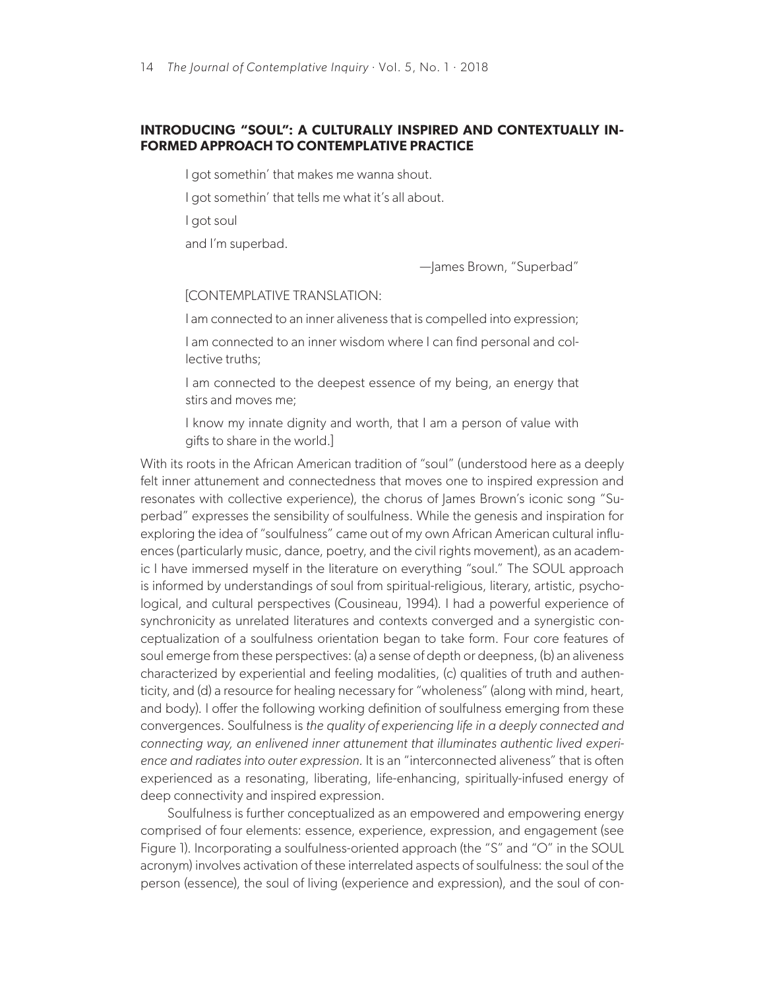# **INTRODUCING "SOUL": A CULTURALLY INSPIRED AND CONTEXTUALLY IN-FORMED APPROACH TO CONTEMPLATIVE PRACTICE**

I got somethin' that makes me wanna shout.

I got somethin' that tells me what it's all about.

I got soul

and I'm superbad.

—James Brown, "Superbad"

[CONTEMPLATIVE TRANSLATION:

I am connected to an inner aliveness that is compelled into expression;

I am connected to an inner wisdom where I can find personal and collective truths;

I am connected to the deepest essence of my being, an energy that stirs and moves me;

I know my innate dignity and worth, that I am a person of value with gifts to share in the world.]

With its roots in the African American tradition of "soul" (understood here as a deeply felt inner attunement and connectedness that moves one to inspired expression and resonates with collective experience), the chorus of James Brown's iconic song "Superbad" expresses the sensibility of soulfulness. While the genesis and inspiration for exploring the idea of "soulfulness" came out of my own African American cultural influences (particularly music, dance, poetry, and the civil rights movement), as an academic I have immersed myself in the literature on everything "soul." The SOUL approach is informed by understandings of soul from spiritual-religious, literary, artistic, psychological, and cultural perspectives (Cousineau, 1994). I had a powerful experience of synchronicity as unrelated literatures and contexts converged and a synergistic conceptualization of a soulfulness orientation began to take form. Four core features of soul emerge from these perspectives: (a) a sense of depth or deepness, (b) an aliveness characterized by experiential and feeling modalities, (c) qualities of truth and authenticity, and (d) a resource for healing necessary for "wholeness" (along with mind, heart, and body). I offer the following working definition of soulfulness emerging from these convergences. Soulfulness is *the quality of experiencing life in a deeply connected and connecting way, an enlivened inner attunement that illuminates authentic lived experience and radiates into outer expression.* It is an "interconnected aliveness" that is often experienced as a resonating, liberating, life-enhancing, spiritually-infused energy of deep connectivity and inspired expression.

Soulfulness is further conceptualized as an empowered and empowering energy comprised of four elements: essence, experience, expression, and engagement (see Figure 1). Incorporating a soulfulness-oriented approach (the "S" and "O" in the SOUL acronym) involves activation of these interrelated aspects of soulfulness: the soul of the person (essence), the soul of living (experience and expression), and the soul of con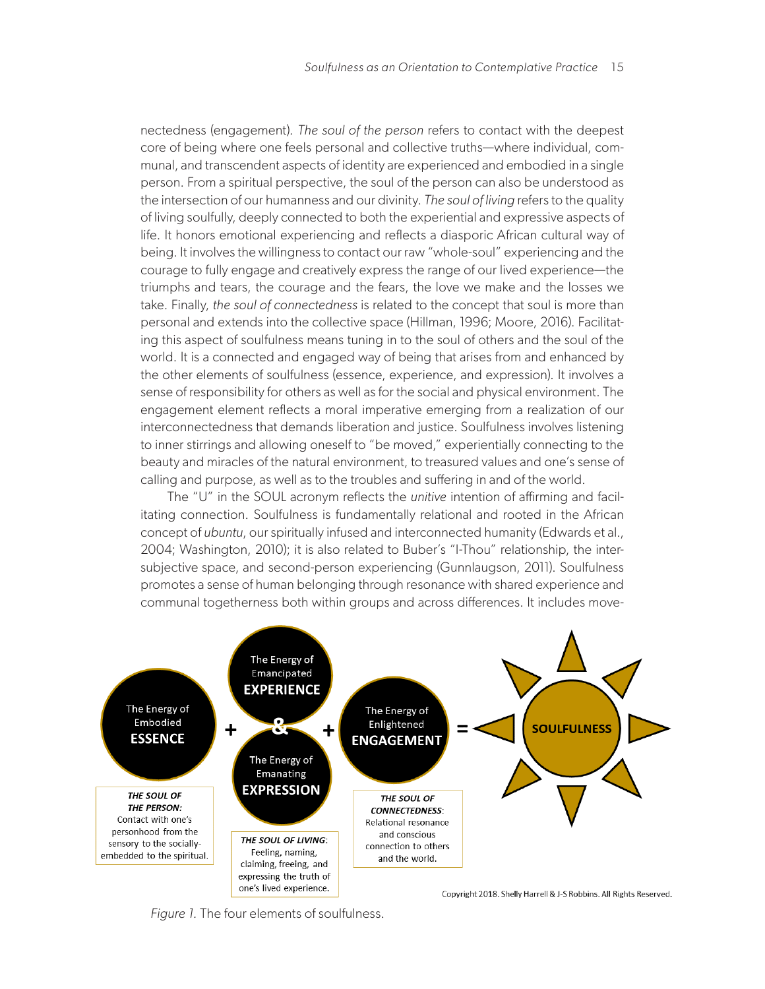nectedness (engagement). *The soul of the person* refers to contact with the deepest core of being where one feels personal and collective truths—where individual, communal, and transcendent aspects of identity are experienced and embodied in a single person. From a spiritual perspective, the soul of the person can also be understood as the intersection of our humanness and our divinity. *The soul of living* refers to the quality of living soulfully, deeply connected to both the experiential and expressive aspects of life. It honors emotional experiencing and reflects a diasporic African cultural way of being. It involves the willingness to contact our raw "whole-soul" experiencing and the courage to fully engage and creatively express the range of our lived experience—the triumphs and tears, the courage and the fears, the love we make and the losses we take. Finally, *the soul of connectedness* is related to the concept that soul is more than personal and extends into the collective space (Hillman, 1996; Moore, 2016). Facilitating this aspect of soulfulness means tuning in to the soul of others and the soul of the world. It is a connected and engaged way of being that arises from and enhanced by the other elements of soulfulness (essence, experience, and expression). It involves a sense of responsibility for others as well as for the social and physical environment. The engagement element reflects a moral imperative emerging from a realization of our interconnectedness that demands liberation and justice. Soulfulness involves listening to inner stirrings and allowing oneself to "be moved," experientially connecting to the beauty and miracles of the natural environment, to treasured values and one's sense of calling and purpose, as well as to the troubles and suffering in and of the world.

The "U" in the SOUL acronym reflects the *unitive* intention of affirming and facilitating connection. Soulfulness is fundamentally relational and rooted in the African concept of *ubuntu*, our spiritually infused and interconnected humanity (Edwards et al., 2004; Washington, 2010); it is also related to Buber's "I-Thou" relationship, the intersubjective space, and second-person experiencing (Gunnlaugson, 2011). Soulfulness promotes a sense of human belonging through resonance with shared experience and communal togetherness both within groups and across differences. It includes move-



*Figure 1.* The four elements of soulfulness.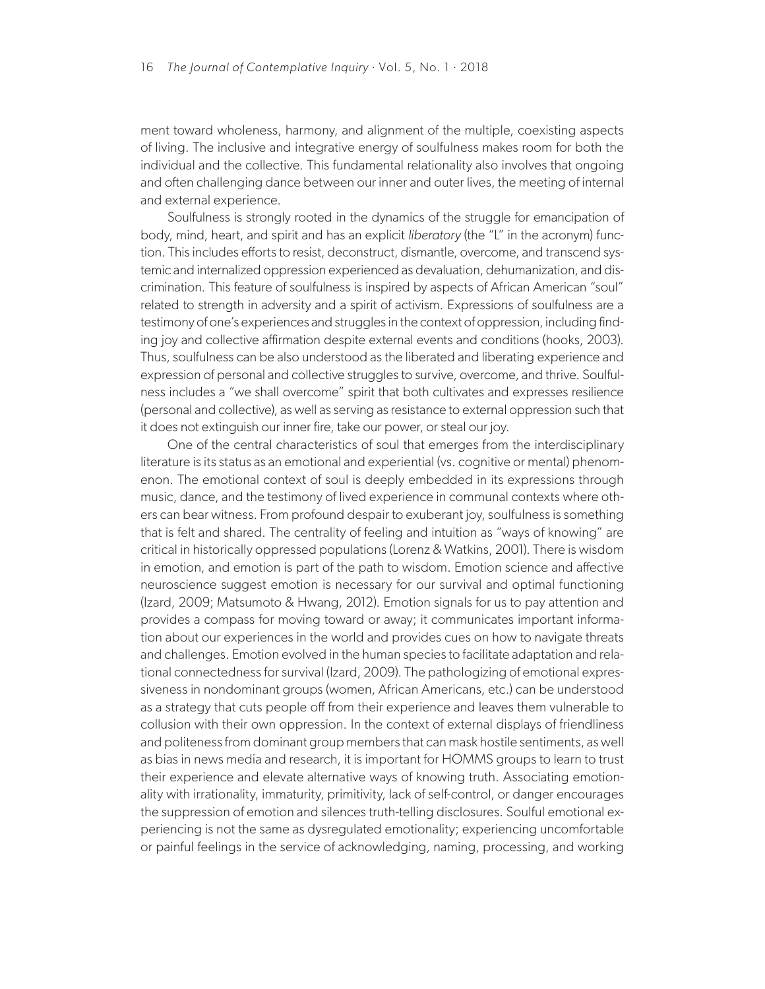ment toward wholeness, harmony, and alignment of the multiple, coexisting aspects of living. The inclusive and integrative energy of soulfulness makes room for both the individual and the collective. This fundamental relationality also involves that ongoing and often challenging dance between our inner and outer lives, the meeting of internal and external experience.

Soulfulness is strongly rooted in the dynamics of the struggle for emancipation of body, mind, heart, and spirit and has an explicit *liberatory* (the "L" in the acronym) function. This includes efforts to resist, deconstruct, dismantle, overcome, and transcend systemic and internalized oppression experienced as devaluation, dehumanization, and discrimination. This feature of soulfulness is inspired by aspects of African American "soul" related to strength in adversity and a spirit of activism. Expressions of soulfulness are a testimony of one's experiences and struggles in the context of oppression, including finding joy and collective affirmation despite external events and conditions (hooks, 2003). Thus, soulfulness can be also understood as the liberated and liberating experience and expression of personal and collective struggles to survive, overcome, and thrive. Soulfulness includes a "we shall overcome" spirit that both cultivates and expresses resilience (personal and collective), as well as serving as resistance to external oppression such that it does not extinguish our inner fire, take our power, or steal our joy.

One of the central characteristics of soul that emerges from the interdisciplinary literature is its status as an emotional and experiential (vs. cognitive or mental) phenomenon. The emotional context of soul is deeply embedded in its expressions through music, dance, and the testimony of lived experience in communal contexts where others can bear witness. From profound despair to exuberant joy, soulfulness is something that is felt and shared. The centrality of feeling and intuition as "ways of knowing" are critical in historically oppressed populations (Lorenz & Watkins, 2001). There is wisdom in emotion, and emotion is part of the path to wisdom. Emotion science and affective neuroscience suggest emotion is necessary for our survival and optimal functioning (Izard, 2009; Matsumoto & Hwang, 2012). Emotion signals for us to pay attention and provides a compass for moving toward or away; it communicates important information about our experiences in the world and provides cues on how to navigate threats and challenges. Emotion evolved in the human species to facilitate adaptation and relational connectedness for survival (Izard, 2009). The pathologizing of emotional expressiveness in nondominant groups (women, African Americans, etc.) can be understood as a strategy that cuts people off from their experience and leaves them vulnerable to collusion with their own oppression. In the context of external displays of friendliness and politeness from dominant group members that can mask hostile sentiments, as well as bias in news media and research, it is important for HOMMS groups to learn to trust their experience and elevate alternative ways of knowing truth. Associating emotionality with irrationality, immaturity, primitivity, lack of self-control, or danger encourages the suppression of emotion and silences truth-telling disclosures. Soulful emotional experiencing is not the same as dysregulated emotionality; experiencing uncomfortable or painful feelings in the service of acknowledging, naming, processing, and working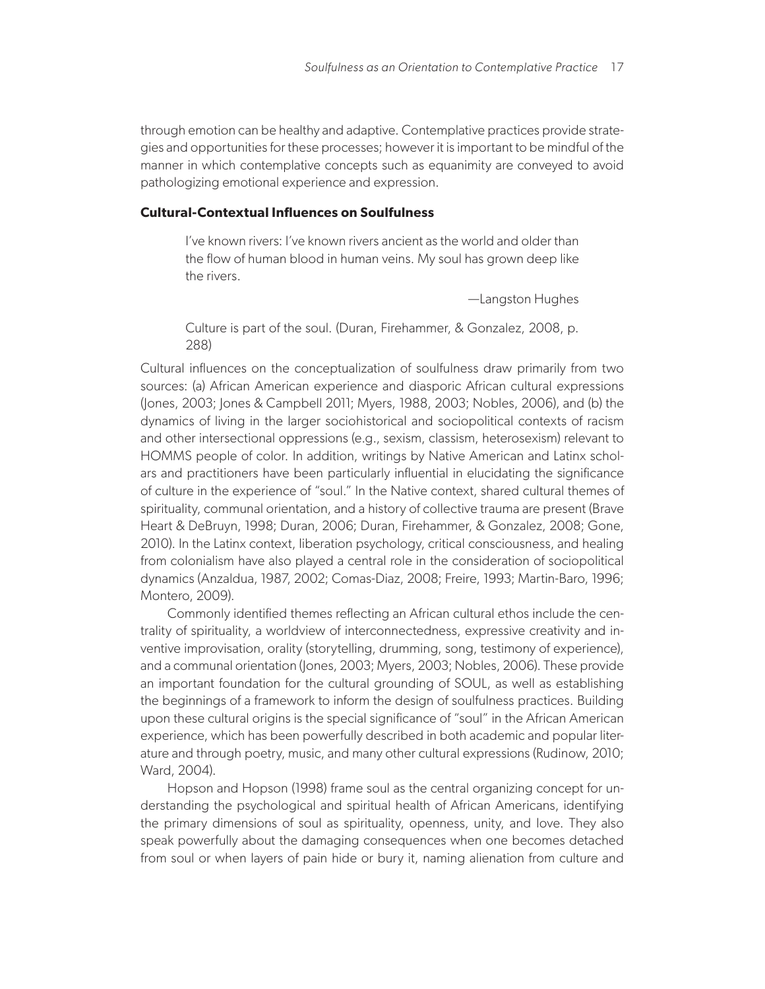through emotion can be healthy and adaptive. Contemplative practices provide strategies and opportunities for these processes; however it is important to be mindful of the manner in which contemplative concepts such as equanimity are conveyed to avoid pathologizing emotional experience and expression.

## **Cultural-Contextual Influences on Soulfulness**

I've known rivers: I've known rivers ancient as the world and older than the flow of human blood in human veins. My soul has grown deep like the rivers.

—Langston Hughes

Culture is part of the soul. (Duran, Firehammer, & Gonzalez, 2008, p. 288)

Cultural influences on the conceptualization of soulfulness draw primarily from two sources: (a) African American experience and diasporic African cultural expressions (Jones, 2003; Jones & Campbell 2011; Myers, 1988, 2003; Nobles, 2006), and (b) the dynamics of living in the larger sociohistorical and sociopolitical contexts of racism and other intersectional oppressions (e.g., sexism, classism, heterosexism) relevant to HOMMS people of color. In addition, writings by Native American and Latinx scholars and practitioners have been particularly influential in elucidating the significance of culture in the experience of "soul." In the Native context, shared cultural themes of spirituality, communal orientation, and a history of collective trauma are present (Brave Heart & DeBruyn, 1998; Duran, 2006; Duran, Firehammer, & Gonzalez, 2008; Gone, 2010). In the Latinx context, liberation psychology, critical consciousness, and healing from colonialism have also played a central role in the consideration of sociopolitical dynamics (Anzaldua, 1987, 2002; Comas-Diaz, 2008; Freire, 1993; Martin-Baro, 1996; Montero, 2009).

Commonly identified themes reflecting an African cultural ethos include the centrality of spirituality, a worldview of interconnectedness, expressive creativity and inventive improvisation, orality (storytelling, drumming, song, testimony of experience), and a communal orientation (Jones, 2003; Myers, 2003; Nobles, 2006). These provide an important foundation for the cultural grounding of SOUL, as well as establishing the beginnings of a framework to inform the design of soulfulness practices. Building upon these cultural origins is the special significance of "soul" in the African American experience, which has been powerfully described in both academic and popular literature and through poetry, music, and many other cultural expressions (Rudinow, 2010; Ward, 2004).

Hopson and Hopson (1998) frame soul as the central organizing concept for understanding the psychological and spiritual health of African Americans, identifying the primary dimensions of soul as spirituality, openness, unity, and love. They also speak powerfully about the damaging consequences when one becomes detached from soul or when layers of pain hide or bury it, naming alienation from culture and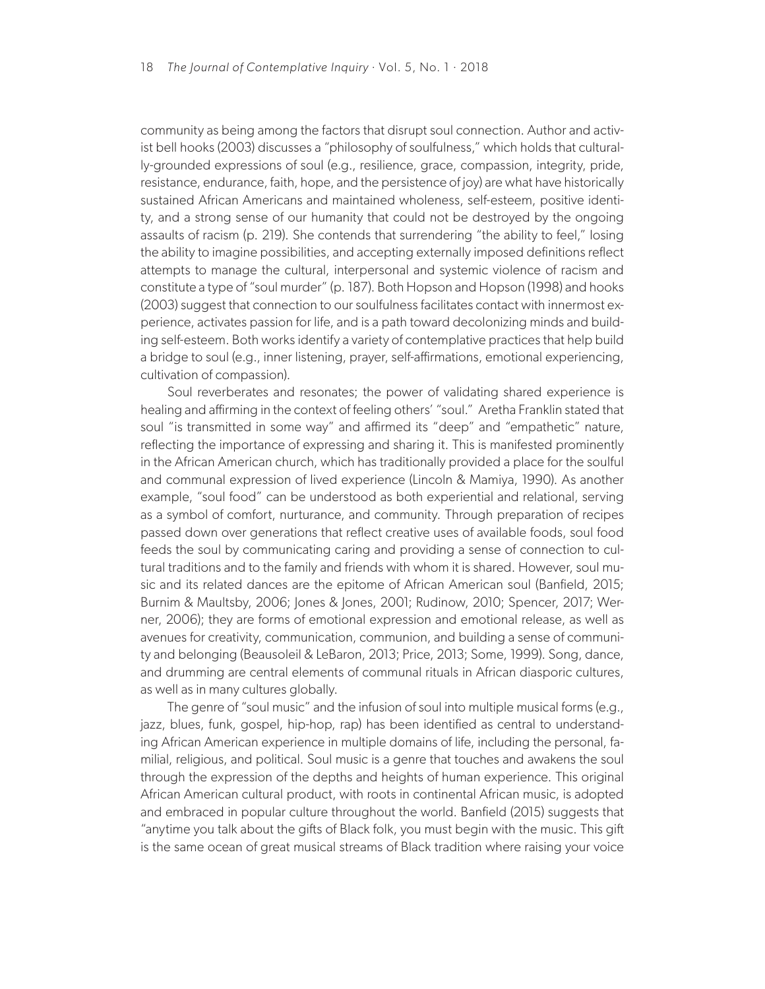community as being among the factors that disrupt soul connection. Author and activist bell hooks (2003) discusses a "philosophy of soulfulness," which holds that culturally-grounded expressions of soul (e.g., resilience, grace, compassion, integrity, pride, resistance, endurance, faith, hope, and the persistence of joy) are what have historically sustained African Americans and maintained wholeness, self-esteem, positive identity, and a strong sense of our humanity that could not be destroyed by the ongoing assaults of racism (p. 219). She contends that surrendering "the ability to feel," losing the ability to imagine possibilities, and accepting externally imposed definitions reflect attempts to manage the cultural, interpersonal and systemic violence of racism and constitute a type of "soul murder" (p. 187). Both Hopson and Hopson (1998) and hooks (2003) suggest that connection to our soulfulness facilitates contact with innermost experience, activates passion for life, and is a path toward decolonizing minds and building self-esteem. Both works identify a variety of contemplative practices that help build a bridge to soul (e.g., inner listening, prayer, self-affirmations, emotional experiencing, cultivation of compassion).

Soul reverberates and resonates; the power of validating shared experience is healing and affirming in the context of feeling others' "soul." Aretha Franklin stated that soul "is transmitted in some way" and affirmed its "deep" and "empathetic" nature, reflecting the importance of expressing and sharing it. This is manifested prominently in the African American church, which has traditionally provided a place for the soulful and communal expression of lived experience (Lincoln & Mamiya, 1990). As another example, "soul food" can be understood as both experiential and relational, serving as a symbol of comfort, nurturance, and community. Through preparation of recipes passed down over generations that reflect creative uses of available foods, soul food feeds the soul by communicating caring and providing a sense of connection to cultural traditions and to the family and friends with whom it is shared. However, soul music and its related dances are the epitome of African American soul (Banfield, 2015; Burnim & Maultsby, 2006; Jones & Jones, 2001; Rudinow, 2010; Spencer, 2017; Werner, 2006); they are forms of emotional expression and emotional release, as well as avenues for creativity, communication, communion, and building a sense of community and belonging (Beausoleil & LeBaron, 2013; Price, 2013; Some, 1999). Song, dance, and drumming are central elements of communal rituals in African diasporic cultures, as well as in many cultures globally.

The genre of "soul music" and the infusion of soul into multiple musical forms (e.g., jazz, blues, funk, gospel, hip-hop, rap) has been identified as central to understanding African American experience in multiple domains of life, including the personal, familial, religious, and political. Soul music is a genre that touches and awakens the soul through the expression of the depths and heights of human experience. This original African American cultural product, with roots in continental African music, is adopted and embraced in popular culture throughout the world. Banfield (2015) suggests that "anytime you talk about the gifts of Black folk, you must begin with the music. This gift is the same ocean of great musical streams of Black tradition where raising your voice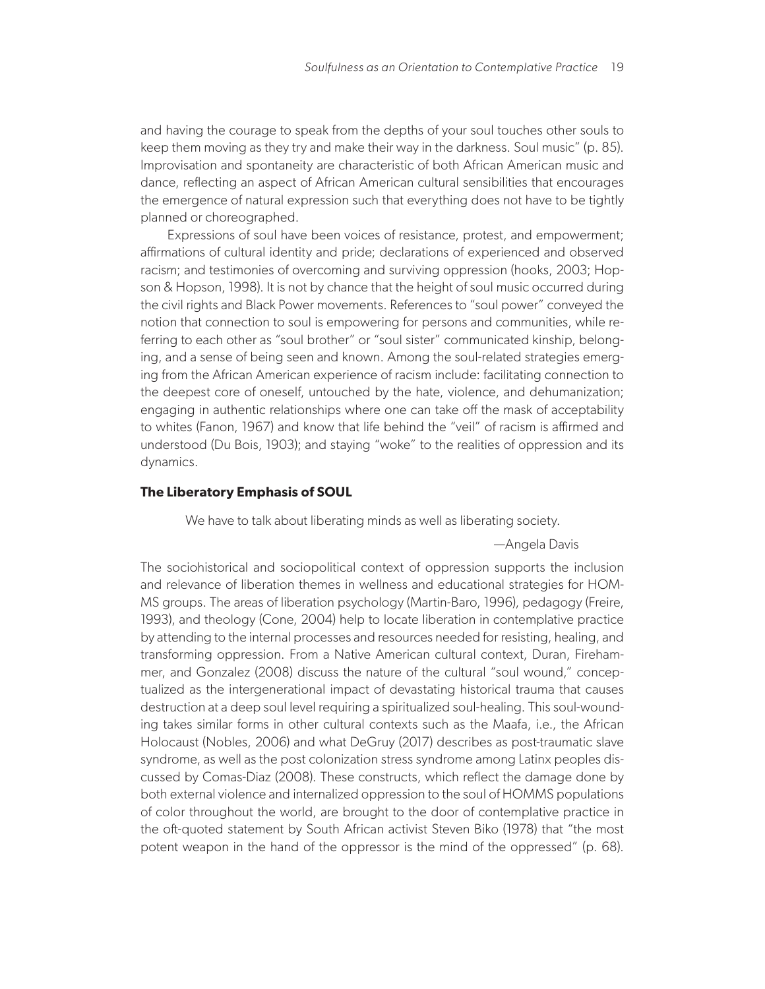and having the courage to speak from the depths of your soul touches other souls to keep them moving as they try and make their way in the darkness. Soul music" (p. 85). Improvisation and spontaneity are characteristic of both African American music and dance, reflecting an aspect of African American cultural sensibilities that encourages the emergence of natural expression such that everything does not have to be tightly planned or choreographed.

Expressions of soul have been voices of resistance, protest, and empowerment; affirmations of cultural identity and pride; declarations of experienced and observed racism; and testimonies of overcoming and surviving oppression (hooks, 2003; Hopson & Hopson, 1998). It is not by chance that the height of soul music occurred during the civil rights and Black Power movements. References to "soul power" conveyed the notion that connection to soul is empowering for persons and communities, while referring to each other as "soul brother" or "soul sister" communicated kinship, belonging, and a sense of being seen and known. Among the soul-related strategies emerging from the African American experience of racism include: facilitating connection to the deepest core of oneself, untouched by the hate, violence, and dehumanization; engaging in authentic relationships where one can take off the mask of acceptability to whites (Fanon, 1967) and know that life behind the "veil" of racism is affirmed and understood (Du Bois, 1903); and staying "woke" to the realities of oppression and its dynamics.

#### **The Liberatory Emphasis of SOUL**

We have to talk about liberating minds as well as liberating society.

—Angela Davis

The sociohistorical and sociopolitical context of oppression supports the inclusion and relevance of liberation themes in wellness and educational strategies for HOM-MS groups. The areas of liberation psychology (Martin-Baro, 1996), pedagogy (Freire, 1993), and theology (Cone, 2004) help to locate liberation in contemplative practice by attending to the internal processes and resources needed for resisting, healing, and transforming oppression. From a Native American cultural context, Duran, Firehammer, and Gonzalez (2008) discuss the nature of the cultural "soul wound," conceptualized as the intergenerational impact of devastating historical trauma that causes destruction at a deep soul level requiring a spiritualized soul-healing. This soul-wounding takes similar forms in other cultural contexts such as the Maafa, i.e., the African Holocaust (Nobles, 2006) and what DeGruy (2017) describes as post-traumatic slave syndrome, as well as the post colonization stress syndrome among Latinx peoples discussed by Comas-Diaz (2008). These constructs, which reflect the damage done by both external violence and internalized oppression to the soul of HOMMS populations of color throughout the world, are brought to the door of contemplative practice in the oft-quoted statement by South African activist Steven Biko (1978) that "the most potent weapon in the hand of the oppressor is the mind of the oppressed" (p. 68).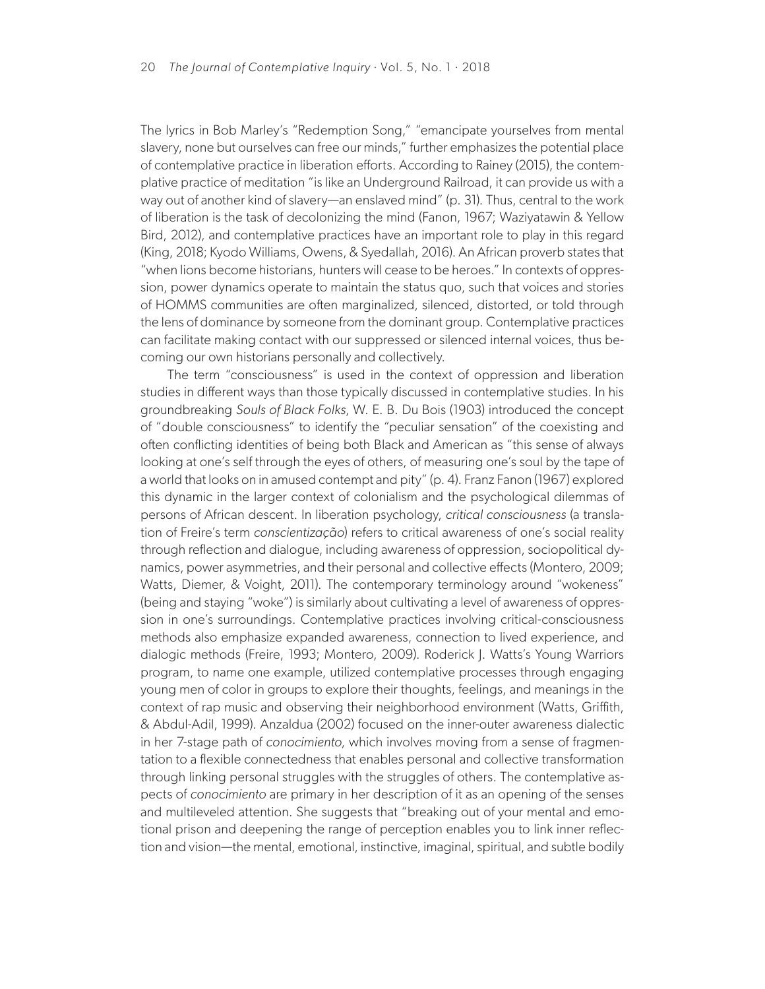The lyrics in Bob Marley's "Redemption Song," "emancipate yourselves from mental slavery, none but ourselves can free our minds," further emphasizes the potential place of contemplative practice in liberation efforts. According to Rainey (2015), the contemplative practice of meditation "is like an Underground Railroad, it can provide us with a way out of another kind of slavery—an enslaved mind" (p. 31). Thus, central to the work of liberation is the task of decolonizing the mind (Fanon, 1967; Waziyatawin & Yellow Bird, 2012), and contemplative practices have an important role to play in this regard (King, 2018; Kyodo Williams, Owens, & Syedallah, 2016). An African proverb states that "when lions become historians, hunters will cease to be heroes." In contexts of oppression, power dynamics operate to maintain the status quo, such that voices and stories of HOMMS communities are often marginalized, silenced, distorted, or told through the lens of dominance by someone from the dominant group. Contemplative practices can facilitate making contact with our suppressed or silenced internal voices, thus becoming our own historians personally and collectively.

The term "consciousness" is used in the context of oppression and liberation studies in different ways than those typically discussed in contemplative studies. In his groundbreaking *Souls of Black Folks*, W. E. B. Du Bois (1903) introduced the concept of "double consciousness" to identify the "peculiar sensation" of the coexisting and often conflicting identities of being both Black and American as "this sense of always looking at one's self through the eyes of others, of measuring one's soul by the tape of a world that looks on in amused contempt and pity" (p. 4). Franz Fanon (1967) explored this dynamic in the larger context of colonialism and the psychological dilemmas of persons of African descent. In liberation psychology, *critical consciousness* (a translation of Freire's term *conscientização*) refers to critical awareness of one's social reality through reflection and dialogue, including awareness of oppression, sociopolitical dynamics, power asymmetries, and their personal and collective effects (Montero, 2009; Watts, Diemer, & Voight, 2011). The contemporary terminology around "wokeness" (being and staying "woke") is similarly about cultivating a level of awareness of oppression in one's surroundings. Contemplative practices involving critical-consciousness methods also emphasize expanded awareness, connection to lived experience, and dialogic methods (Freire, 1993; Montero, 2009). Roderick J. Watts's Young Warriors program, to name one example, utilized contemplative processes through engaging young men of color in groups to explore their thoughts, feelings, and meanings in the context of rap music and observing their neighborhood environment (Watts, Griffith, & Abdul-Adil, 1999). Anzaldua (2002) focused on the inner-outer awareness dialectic in her 7-stage path of *conocimiento*, which involves moving from a sense of fragmentation to a flexible connectedness that enables personal and collective transformation through linking personal struggles with the struggles of others. The contemplative aspects of *conocimiento* are primary in her description of it as an opening of the senses and multileveled attention. She suggests that "breaking out of your mental and emotional prison and deepening the range of perception enables you to link inner reflection and vision—the mental, emotional, instinctive, imaginal, spiritual, and subtle bodily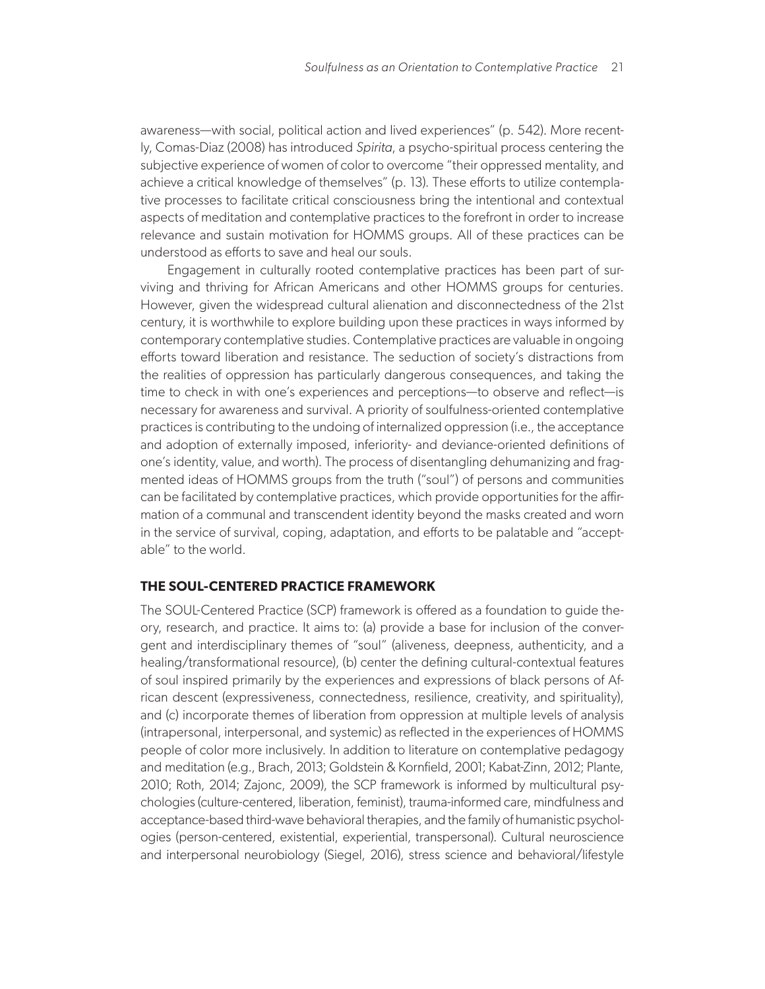awareness—with social, political action and lived experiences" (p. 542). More recently, Comas-Diaz (2008) has introduced *Spirita*, a psycho-spiritual process centering the subjective experience of women of color to overcome "their oppressed mentality, and achieve a critical knowledge of themselves" (p. 13). These efforts to utilize contemplative processes to facilitate critical consciousness bring the intentional and contextual aspects of meditation and contemplative practices to the forefront in order to increase relevance and sustain motivation for HOMMS groups. All of these practices can be understood as efforts to save and heal our souls.

Engagement in culturally rooted contemplative practices has been part of surviving and thriving for African Americans and other HOMMS groups for centuries. However, given the widespread cultural alienation and disconnectedness of the 21st century, it is worthwhile to explore building upon these practices in ways informed by contemporary contemplative studies. Contemplative practices are valuable in ongoing efforts toward liberation and resistance. The seduction of society's distractions from the realities of oppression has particularly dangerous consequences, and taking the time to check in with one's experiences and perceptions—to observe and reflect—is necessary for awareness and survival. A priority of soulfulness-oriented contemplative practices is contributing to the undoing of internalized oppression (i.e., the acceptance and adoption of externally imposed, inferiority- and deviance-oriented definitions of one's identity, value, and worth). The process of disentangling dehumanizing and fragmented ideas of HOMMS groups from the truth ("soul") of persons and communities can be facilitated by contemplative practices, which provide opportunities for the affirmation of a communal and transcendent identity beyond the masks created and worn in the service of survival, coping, adaptation, and efforts to be palatable and "acceptable" to the world.

## **THE SOUL-CENTERED PRACTICE FRAMEWORK**

The SOUL-Centered Practice (SCP) framework is offered as a foundation to guide theory, research, and practice. It aims to: (a) provide a base for inclusion of the convergent and interdisciplinary themes of "soul" (aliveness, deepness, authenticity, and a healing/transformational resource), (b) center the defining cultural-contextual features of soul inspired primarily by the experiences and expressions of black persons of African descent (expressiveness, connectedness, resilience, creativity, and spirituality), and (c) incorporate themes of liberation from oppression at multiple levels of analysis (intrapersonal, interpersonal, and systemic) as reflected in the experiences of HOMMS people of color more inclusively. In addition to literature on contemplative pedagogy and meditation (e.g., Brach, 2013; Goldstein & Kornfield, 2001; Kabat-Zinn, 2012; Plante, 2010; Roth, 2014; Zajonc, 2009), the SCP framework is informed by multicultural psychologies (culture-centered, liberation, feminist), trauma-informed care, mindfulness and acceptance-based third-wave behavioral therapies, and the family of humanistic psychologies (person-centered, existential, experiential, transpersonal). Cultural neuroscience and interpersonal neurobiology (Siegel, 2016), stress science and behavioral/lifestyle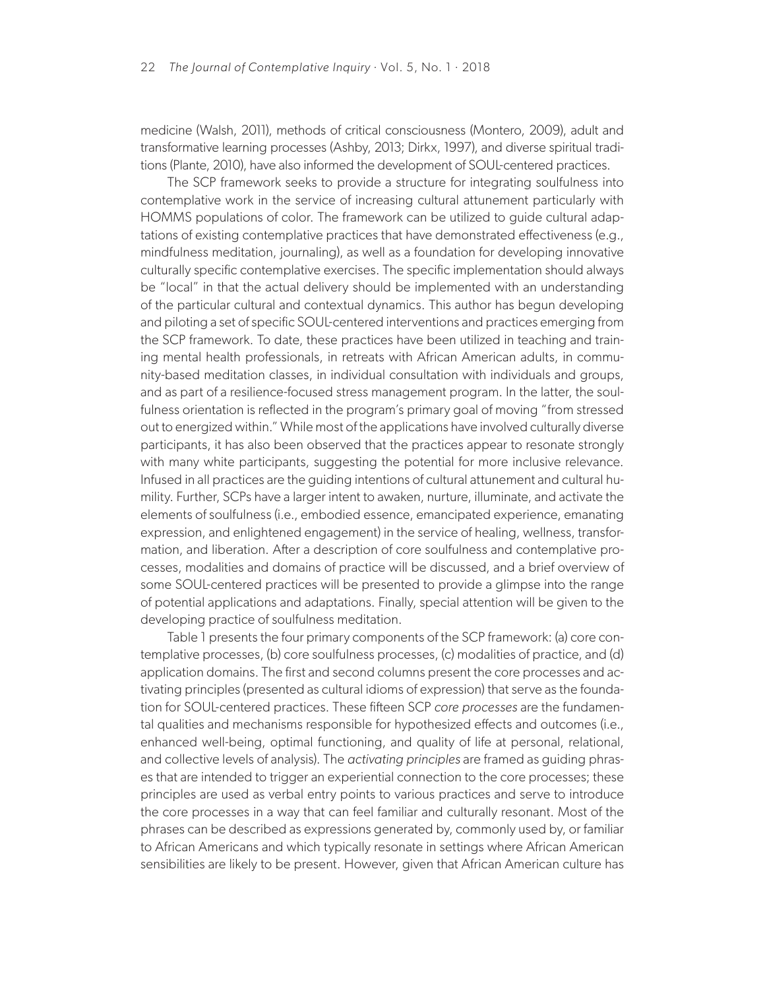medicine (Walsh, 2011), methods of critical consciousness (Montero, 2009), adult and transformative learning processes (Ashby, 2013; Dirkx, 1997), and diverse spiritual traditions (Plante, 2010), have also informed the development of SOUL-centered practices.

The SCP framework seeks to provide a structure for integrating soulfulness into contemplative work in the service of increasing cultural attunement particularly with HOMMS populations of color. The framework can be utilized to guide cultural adaptations of existing contemplative practices that have demonstrated effectiveness (e.g., mindfulness meditation, journaling), as well as a foundation for developing innovative culturally specific contemplative exercises. The specific implementation should always be "local" in that the actual delivery should be implemented with an understanding of the particular cultural and contextual dynamics. This author has begun developing and piloting a set of specific SOUL-centered interventions and practices emerging from the SCP framework. To date, these practices have been utilized in teaching and training mental health professionals, in retreats with African American adults, in community-based meditation classes, in individual consultation with individuals and groups, and as part of a resilience-focused stress management program. In the latter, the soulfulness orientation is reflected in the program's primary goal of moving "from stressed out to energized within." While most of the applications have involved culturally diverse participants, it has also been observed that the practices appear to resonate strongly with many white participants, suggesting the potential for more inclusive relevance. Infused in all practices are the guiding intentions of cultural attunement and cultural humility. Further, SCPs have a larger intent to awaken, nurture, illuminate, and activate the elements of soulfulness (i.e., embodied essence, emancipated experience, emanating expression, and enlightened engagement) in the service of healing, wellness, transformation, and liberation. After a description of core soulfulness and contemplative processes, modalities and domains of practice will be discussed, and a brief overview of some SOUL-centered practices will be presented to provide a glimpse into the range of potential applications and adaptations. Finally, special attention will be given to the developing practice of soulfulness meditation.

Table 1 presents the four primary components of the SCP framework: (a) core contemplative processes, (b) core soulfulness processes, (c) modalities of practice, and (d) application domains. The first and second columns present the core processes and activating principles (presented as cultural idioms of expression) that serve as the foundation for SOUL-centered practices. These fifteen SCP *core processes* are the fundamental qualities and mechanisms responsible for hypothesized effects and outcomes (i.e., enhanced well-being, optimal functioning, and quality of life at personal, relational, and collective levels of analysis). The *activating principles* are framed as guiding phrases that are intended to trigger an experiential connection to the core processes; these principles are used as verbal entry points to various practices and serve to introduce the core processes in a way that can feel familiar and culturally resonant. Most of the phrases can be described as expressions generated by, commonly used by, or familiar to African Americans and which typically resonate in settings where African American sensibilities are likely to be present. However, given that African American culture has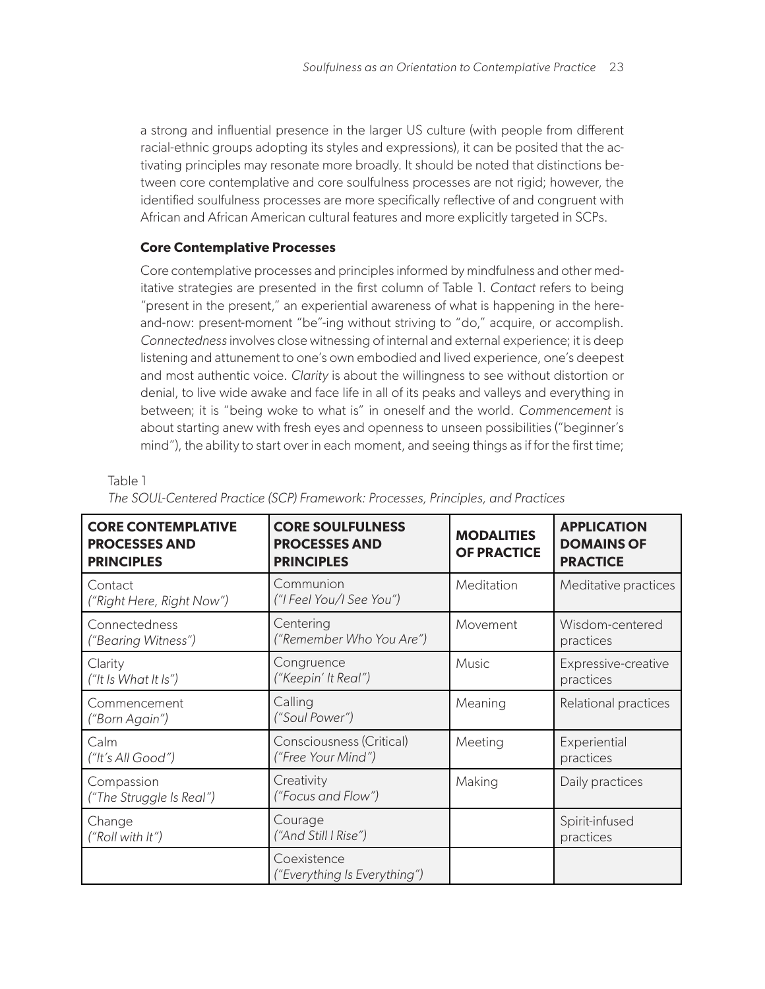a strong and influential presence in the larger US culture (with people from different racial-ethnic groups adopting its styles and expressions), it can be posited that the activating principles may resonate more broadly. It should be noted that distinctions between core contemplative and core soulfulness processes are not rigid; however, the identified soulfulness processes are more specifically reflective of and congruent with African and African American cultural features and more explicitly targeted in SCPs.

# **Core Contemplative Processes**

Table 1

Core contemplative processes and principles informed by mindfulness and other meditative strategies are presented in the first column of Table 1. *Contact* refers to being "present in the present," an experiential awareness of what is happening in the hereand-now: present-moment "be"-ing without striving to "do," acquire, or accomplish. *Connectedness* involves close witnessing of internal and external experience; it is deep listening and attunement to one's own embodied and lived experience, one's deepest and most authentic voice. *Clarity* is about the willingness to see without distortion or denial, to live wide awake and face life in all of its peaks and valleys and everything in between; it is "being woke to what is" in oneself and the world. *Commencement* is about starting anew with fresh eyes and openness to unseen possibilities ("beginner's mind"), the ability to start over in each moment, and seeing things as if for the first time;

| <b>CORE CONTEMPLATIVE</b><br><b>PROCESSES AND</b><br><b>PRINCIPLES</b> | <b>CORE SOULFULNESS</b><br><b>PROCESSES AND</b><br><b>PRINCIPLES</b> | <b>MODALITIES</b><br><b>OF PRACTICE</b> | <b>APPLICATION</b><br><b>DOMAINS OF</b><br><b>PRACTICE</b> |
|------------------------------------------------------------------------|----------------------------------------------------------------------|-----------------------------------------|------------------------------------------------------------|
| Contact<br>("Right Here, Right Now")                                   | Communion<br>("I Feel You/I See You")                                | Meditation                              | Meditative practices                                       |
| Connectedness<br>("Bearing Witness")                                   | Centering<br>("Remember Who You Are")                                | Movement                                | Wisdom-centered<br>practices                               |
| Clarity<br>("It Is What It Is")                                        | Congruence<br>("Keepin' It Real")                                    | <b>Music</b>                            | Expressive-creative<br>practices                           |
| Commencement<br>("Born Again")                                         | Calling<br>("Soul Power")                                            | Meaning                                 | Relational practices                                       |
| Calm<br>("It's All Good")                                              | Consciousness (Critical)<br>("Free Your Mind")                       | Meeting                                 | Experiential<br>practices                                  |
| Compassion<br>("The Struggle Is Real")                                 | Creativity<br>("Focus and Flow")                                     | Making                                  | Daily practices                                            |
| Change<br>("Roll with It")                                             | Courage<br>("And Still I Rise")                                      |                                         | Spirit-infused<br>practices                                |
|                                                                        | Coexistence<br>("Everything Is Everything")                          |                                         |                                                            |

# *The SOUL-Centered Practice (SCP) Framework: Processes, Principles, and Practices*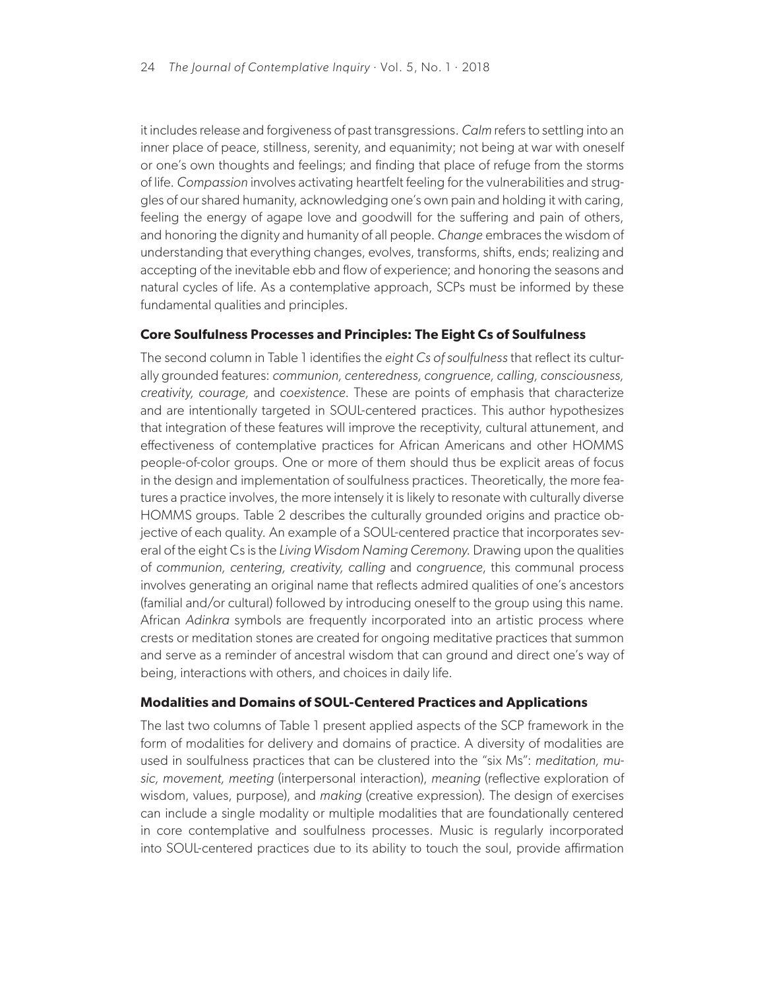it includes release and forgiveness of past transgressions. *Calm* refers to settling into an inner place of peace, stillness, serenity, and equanimity; not being at war with oneself or one's own thoughts and feelings; and finding that place of refuge from the storms of life. *Compassion* involves activating heartfelt feeling for the vulnerabilities and struggles of our shared humanity, acknowledging one's own pain and holding it with caring, feeling the energy of agape love and goodwill for the suffering and pain of others, and honoring the dignity and humanity of all people. *Change* embraces the wisdom of understanding that everything changes, evolves, transforms, shifts, ends; realizing and accepting of the inevitable ebb and flow of experience; and honoring the seasons and natural cycles of life. As a contemplative approach, SCPs must be informed by these fundamental qualities and principles.

## **Core Soulfulness Processes and Principles: The Eight Cs of Soulfulness**

The second column in Table 1 identifies the *eight Cs of soulfulness* that reflect its culturally grounded features: *communion, centeredness, congruence, calling, consciousness, creativity, courage,* and *coexistence*. These are points of emphasis that characterize and are intentionally targeted in SOUL-centered practices. This author hypothesizes that integration of these features will improve the receptivity, cultural attunement, and effectiveness of contemplative practices for African Americans and other HOMMS people-of-color groups. One or more of them should thus be explicit areas of focus in the design and implementation of soulfulness practices. Theoretically, the more features a practice involves, the more intensely it is likely to resonate with culturally diverse HOMMS groups. Table 2 describes the culturally grounded origins and practice objective of each quality. An example of a SOUL-centered practice that incorporates several of the eight Cs is the *Living Wisdom Naming Ceremony*. Drawing upon the qualities of *communion, centering, creativity, calling* and *congruence*, this communal process involves generating an original name that reflects admired qualities of one's ancestors (familial and/or cultural) followed by introducing oneself to the group using this name. African *Adinkra* symbols are frequently incorporated into an artistic process where crests or meditation stones are created for ongoing meditative practices that summon and serve as a reminder of ancestral wisdom that can ground and direct one's way of being, interactions with others, and choices in daily life.

## **Modalities and Domains of SOUL-Centered Practices and Applications**

The last two columns of Table 1 present applied aspects of the SCP framework in the form of modalities for delivery and domains of practice. A diversity of modalities are used in soulfulness practices that can be clustered into the "six Ms": *meditation, music, movement, meeting* (interpersonal interaction), *meaning* (reflective exploration of wisdom, values, purpose), and *making* (creative expression). The design of exercises can include a single modality or multiple modalities that are foundationally centered in core contemplative and soulfulness processes. Music is regularly incorporated into SOUL-centered practices due to its ability to touch the soul, provide affirmation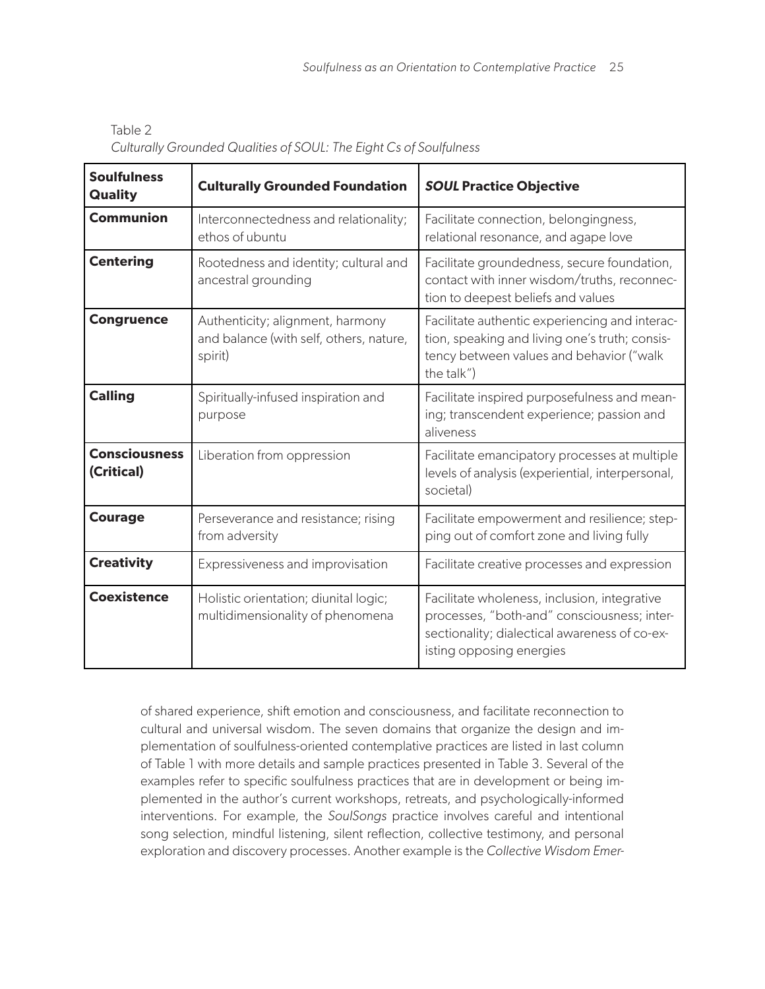| <b>Soulfulness</b><br><b>Quality</b> | <b>Culturally Grounded Foundation</b>                                                  | <b>SOUL Practice Objective</b>                                                                                                                                           |
|--------------------------------------|----------------------------------------------------------------------------------------|--------------------------------------------------------------------------------------------------------------------------------------------------------------------------|
| <b>Communion</b>                     | Interconnectedness and relationality;<br>ethos of ubuntu                               | Facilitate connection, belongingness,<br>relational resonance, and agape love                                                                                            |
| <b>Centering</b>                     | Rootedness and identity; cultural and<br>ancestral grounding                           | Facilitate groundedness, secure foundation,<br>contact with inner wisdom/truths, reconnec-<br>tion to deepest beliefs and values                                         |
| <b>Congruence</b>                    | Authenticity; alignment, harmony<br>and balance (with self, others, nature,<br>spirit) | Facilitate authentic experiencing and interac-<br>tion, speaking and living one's truth; consis-<br>tency between values and behavior ("walk<br>the talk")               |
| <b>Calling</b>                       | Spiritually-infused inspiration and<br>purpose                                         | Facilitate inspired purposefulness and mean-<br>ing; transcendent experience; passion and<br>aliveness                                                                   |
| <b>Consciousness</b><br>(Critical)   | Liberation from oppression                                                             | Facilitate emancipatory processes at multiple<br>levels of analysis (experiential, interpersonal,<br>societal)                                                           |
| <b>Courage</b>                       | Perseverance and resistance; rising<br>from adversity                                  | Facilitate empowerment and resilience; step-<br>ping out of comfort zone and living fully                                                                                |
| <b>Creativity</b>                    | Expressiveness and improvisation                                                       | Facilitate creative processes and expression                                                                                                                             |
| <b>Coexistence</b>                   | Holistic orientation; diunital logic;<br>multidimensionality of phenomena              | Facilitate wholeness, inclusion, integrative<br>processes, "both-and" consciousness; inter-<br>sectionality; dialectical awareness of co-ex-<br>isting opposing energies |

Table 2 *Culturally Grounded Qualities of SOUL: The Eight Cs of Soulfulness*

of shared experience, shift emotion and consciousness, and facilitate reconnection to cultural and universal wisdom. The seven domains that organize the design and implementation of soulfulness-oriented contemplative practices are listed in last column of Table 1 with more details and sample practices presented in Table 3. Several of the examples refer to specific soulfulness practices that are in development or being implemented in the author's current workshops, retreats, and psychologically-informed interventions. For example, the *SoulSongs* practice involves careful and intentional song selection, mindful listening, silent reflection, collective testimony, and personal exploration and discovery processes. Another example is the *Collective Wisdom Emer-*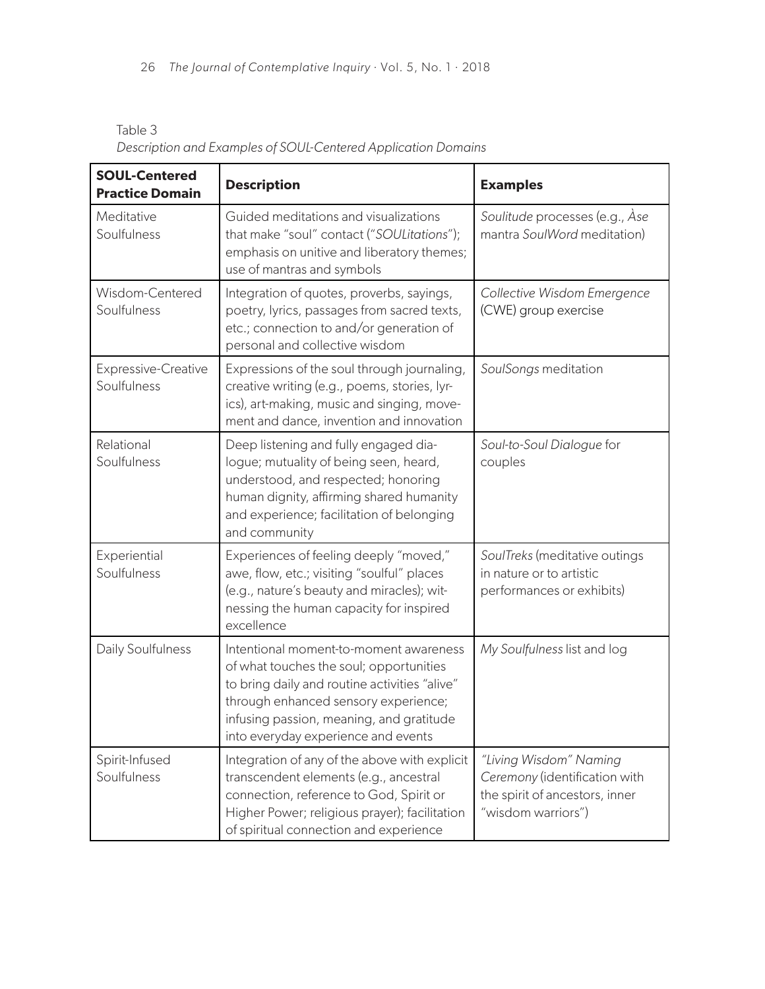| <b>SOUL-Centered</b><br><b>Practice Domain</b> | <b>Description</b>                                                                                                                                                                                                                                            | <b>Examples</b>                                                                                                 |
|------------------------------------------------|---------------------------------------------------------------------------------------------------------------------------------------------------------------------------------------------------------------------------------------------------------------|-----------------------------------------------------------------------------------------------------------------|
| Meditative<br>Soulfulness                      | Guided meditations and visualizations<br>that make "soul" contact ("SOULitations");<br>emphasis on unitive and liberatory themes;<br>use of mantras and symbols                                                                                               | Soulitude processes (e.g., Ase<br>mantra SoulWord meditation)                                                   |
| Wisdom-Centered<br>Soulfulness                 | Integration of quotes, proverbs, sayings,<br>poetry, lyrics, passages from sacred texts,<br>etc.; connection to and/or generation of<br>personal and collective wisdom                                                                                        | Collective Wisdom Emergence<br>(CWE) group exercise                                                             |
| Expressive-Creative<br>Soulfulness             | Expressions of the soul through journaling,<br>creative writing (e.g., poems, stories, lyr-<br>ics), art-making, music and singing, move-<br>ment and dance, invention and innovation                                                                         | SoulSongs meditation                                                                                            |
| Relational<br>Soulfulness                      | Deep listening and fully engaged dia-<br>logue; mutuality of being seen, heard,<br>understood, and respected; honoring<br>human dignity, affirming shared humanity<br>and experience; facilitation of belonging<br>and community                              | Soul-to-Soul Dialogue for<br>couples                                                                            |
| Experiential<br>Soulfulness                    | Experiences of feeling deeply "moved,"<br>awe, flow, etc.; visiting "soulful" places<br>(e.g., nature's beauty and miracles); wit-<br>nessing the human capacity for inspired<br>excellence                                                                   | SoulTreks (meditative outings<br>in nature or to artistic<br>performances or exhibits)                          |
| Daily Soulfulness                              | Intentional moment-to-moment awareness<br>of what touches the soul; opportunities<br>to bring daily and routine activities "alive"<br>through enhanced sensory experience;<br>infusing passion, meaning, and gratitude<br>into everyday experience and events | My Soulfulness list and log                                                                                     |
| Spirit-Infused<br>Soulfulness                  | Integration of any of the above with explicit<br>transcendent elements (e.g., ancestral<br>connection, reference to God, Spirit or<br>Higher Power; religious prayer); facilitation<br>of spiritual connection and experience                                 | "Living Wisdom" Naming<br>Ceremony (identification with<br>the spirit of ancestors, inner<br>"wisdom warriors") |

Table 3 *Description and Examples of SOUL-Centered Application Domains*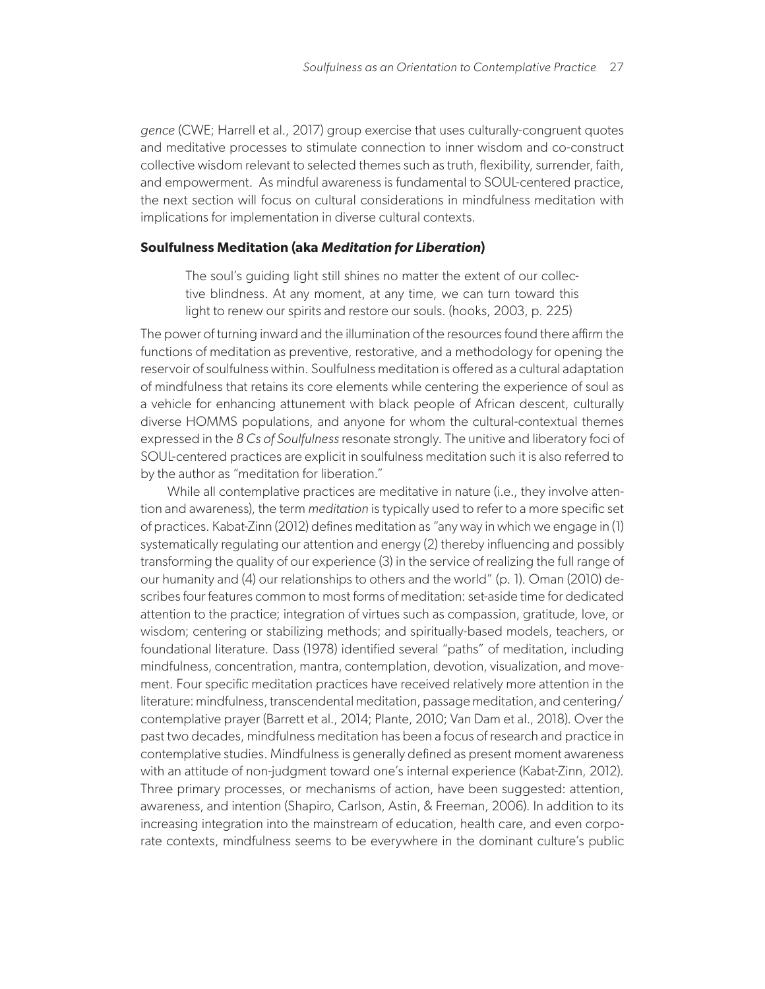*gence* (CWE; Harrell et al., 2017) group exercise that uses culturally-congruent quotes and meditative processes to stimulate connection to inner wisdom and co-construct collective wisdom relevant to selected themes such as truth, flexibility, surrender, faith, and empowerment. As mindful awareness is fundamental to SOUL-centered practice, the next section will focus on cultural considerations in mindfulness meditation with implications for implementation in diverse cultural contexts.

#### **Soulfulness Meditation (aka** *Meditation for Liberation***)**

The soul's guiding light still shines no matter the extent of our collective blindness. At any moment, at any time, we can turn toward this light to renew our spirits and restore our souls. (hooks, 2003, p. 225)

The power of turning inward and the illumination of the resources found there affirm the functions of meditation as preventive, restorative, and a methodology for opening the reservoir of soulfulness within. Soulfulness meditation is offered as a cultural adaptation of mindfulness that retains its core elements while centering the experience of soul as a vehicle for enhancing attunement with black people of African descent, culturally diverse HOMMS populations, and anyone for whom the cultural-contextual themes expressed in the *8 Cs of Soulfulness* resonate strongly. The unitive and liberatory foci of SOUL-centered practices are explicit in soulfulness meditation such it is also referred to by the author as "meditation for liberation."

While all contemplative practices are meditative in nature (i.e., they involve attention and awareness), the term *meditation* is typically used to refer to a more specific set of practices. Kabat-Zinn (2012) defines meditation as "any way in which we engage in (1) systematically regulating our attention and energy (2) thereby influencing and possibly transforming the quality of our experience (3) in the service of realizing the full range of our humanity and (4) our relationships to others and the world" (p. 1). Oman (2010) describes four features common to most forms of meditation: set-aside time for dedicated attention to the practice; integration of virtues such as compassion, gratitude, love, or wisdom; centering or stabilizing methods; and spiritually-based models, teachers, or foundational literature. Dass (1978) identified several "paths" of meditation, including mindfulness, concentration, mantra, contemplation, devotion, visualization, and movement. Four specific meditation practices have received relatively more attention in the literature: mindfulness, transcendental meditation, passage meditation, and centering/ contemplative prayer (Barrett et al., 2014; Plante, 2010; Van Dam et al., 2018). Over the past two decades, mindfulness meditation has been a focus of research and practice in contemplative studies. Mindfulness is generally defined as present moment awareness with an attitude of non-judgment toward one's internal experience (Kabat-Zinn, 2012). Three primary processes, or mechanisms of action, have been suggested: attention, awareness, and intention (Shapiro, Carlson, Astin, & Freeman, 2006). In addition to its increasing integration into the mainstream of education, health care, and even corporate contexts, mindfulness seems to be everywhere in the dominant culture's public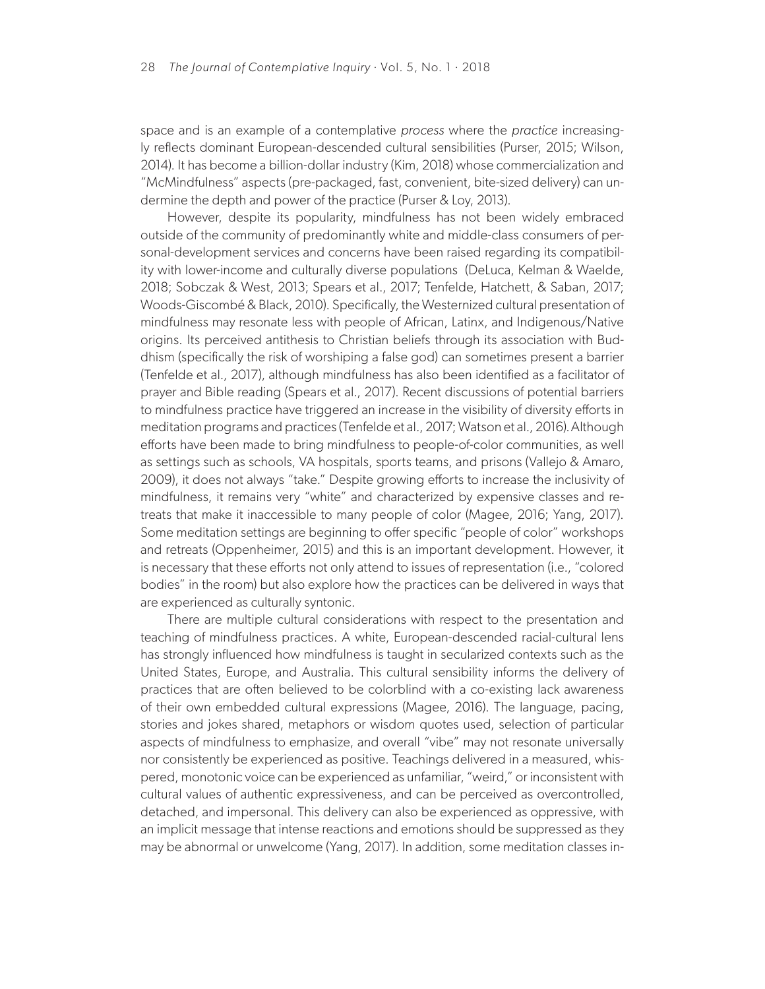space and is an example of a contemplative *process* where the *practice* increasingly reflects dominant European-descended cultural sensibilities (Purser, 2015; Wilson, 2014). It has become a billion-dollar industry (Kim, 2018) whose commercialization and "McMindfulness" aspects (pre-packaged, fast, convenient, bite-sized delivery) can undermine the depth and power of the practice (Purser & Loy, 2013).

However, despite its popularity, mindfulness has not been widely embraced outside of the community of predominantly white and middle-class consumers of personal-development services and concerns have been raised regarding its compatibility with lower-income and culturally diverse populations (DeLuca, Kelman & Waelde, 2018; Sobczak & West, 2013; Spears et al., 2017; Tenfelde, Hatchett, & Saban, 2017; Woods-Giscombé & Black, 2010). Specifically, the Westernized cultural presentation of mindfulness may resonate less with people of African, Latinx, and Indigenous/Native origins. Its perceived antithesis to Christian beliefs through its association with Buddhism (specifically the risk of worshiping a false god) can sometimes present a barrier (Tenfelde et al., 2017), although mindfulness has also been identified as a facilitator of prayer and Bible reading (Spears et al., 2017). Recent discussions of potential barriers to mindfulness practice have triggered an increase in the visibility of diversity efforts in meditation programs and practices (Tenfelde et al., 2017; Watson et al., 2016). Although efforts have been made to bring mindfulness to people-of-color communities, as well as settings such as schools, VA hospitals, sports teams, and prisons (Vallejo & Amaro, 2009), it does not always "take." Despite growing efforts to increase the inclusivity of mindfulness, it remains very "white" and characterized by expensive classes and retreats that make it inaccessible to many people of color (Magee, 2016; Yang, 2017). Some meditation settings are beginning to offer specific "people of color" workshops and retreats (Oppenheimer, 2015) and this is an important development. However, it is necessary that these efforts not only attend to issues of representation (i.e., "colored bodies" in the room) but also explore how the practices can be delivered in ways that are experienced as culturally syntonic.

There are multiple cultural considerations with respect to the presentation and teaching of mindfulness practices. A white, European-descended racial-cultural lens has strongly influenced how mindfulness is taught in secularized contexts such as the United States, Europe, and Australia. This cultural sensibility informs the delivery of practices that are often believed to be colorblind with a co-existing lack awareness of their own embedded cultural expressions (Magee, 2016). The language, pacing, stories and jokes shared, metaphors or wisdom quotes used, selection of particular aspects of mindfulness to emphasize, and overall "vibe" may not resonate universally nor consistently be experienced as positive. Teachings delivered in a measured, whispered, monotonic voice can be experienced as unfamiliar, "weird," or inconsistent with cultural values of authentic expressiveness, and can be perceived as overcontrolled, detached, and impersonal. This delivery can also be experienced as oppressive, with an implicit message that intense reactions and emotions should be suppressed as they may be abnormal or unwelcome (Yang, 2017). In addition, some meditation classes in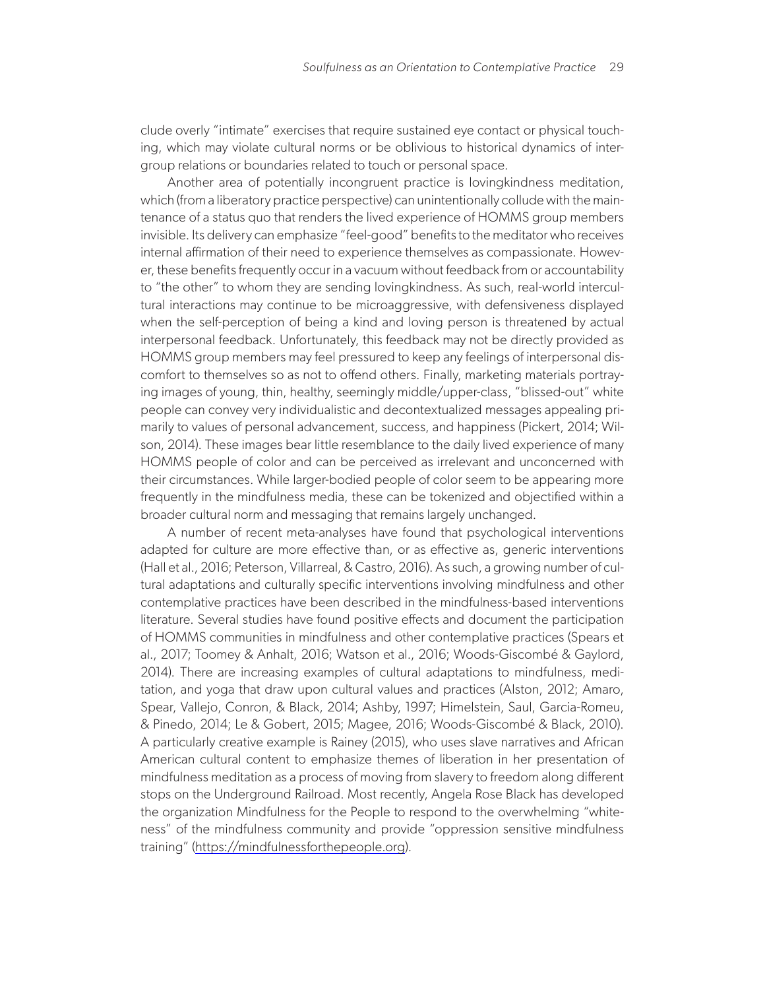clude overly "intimate" exercises that require sustained eye contact or physical touching, which may violate cultural norms or be oblivious to historical dynamics of intergroup relations or boundaries related to touch or personal space.

Another area of potentially incongruent practice is lovingkindness meditation, which (from a liberatory practice perspective) can unintentionally collude with the maintenance of a status quo that renders the lived experience of HOMMS group members invisible. Its delivery can emphasize "feel-good" benefits to the meditator who receives internal affirmation of their need to experience themselves as compassionate. However, these benefits frequently occur in a vacuum without feedback from or accountability to "the other" to whom they are sending lovingkindness. As such, real-world intercultural interactions may continue to be microaggressive, with defensiveness displayed when the self-perception of being a kind and loving person is threatened by actual interpersonal feedback. Unfortunately, this feedback may not be directly provided as HOMMS group members may feel pressured to keep any feelings of interpersonal discomfort to themselves so as not to offend others. Finally, marketing materials portraying images of young, thin, healthy, seemingly middle/upper-class, "blissed-out" white people can convey very individualistic and decontextualized messages appealing primarily to values of personal advancement, success, and happiness (Pickert, 2014; Wilson, 2014). These images bear little resemblance to the daily lived experience of many HOMMS people of color and can be perceived as irrelevant and unconcerned with their circumstances. While larger-bodied people of color seem to be appearing more frequently in the mindfulness media, these can be tokenized and objectified within a broader cultural norm and messaging that remains largely unchanged.

A number of recent meta-analyses have found that psychological interventions adapted for culture are more effective than, or as effective as, generic interventions (Hall et al., 2016; Peterson, Villarreal, & Castro, 2016). As such, a growing number of cultural adaptations and culturally specific interventions involving mindfulness and other contemplative practices have been described in the mindfulness-based interventions literature. Several studies have found positive effects and document the participation of HOMMS communities in mindfulness and other contemplative practices (Spears et al., 2017; Toomey & Anhalt, 2016; Watson et al., 2016; Woods-Giscombé & Gaylord, 2014). There are increasing examples of cultural adaptations to mindfulness, meditation, and yoga that draw upon cultural values and practices (Alston, 2012; Amaro, Spear, Vallejo, Conron, & Black, 2014; Ashby, 1997; Himelstein, Saul, Garcia-Romeu, & Pinedo, 2014; Le & Gobert, 2015; Magee, 2016; Woods-Giscombé & Black, 2010). A particularly creative example is Rainey (2015), who uses slave narratives and African American cultural content to emphasize themes of liberation in her presentation of mindfulness meditation as a process of moving from slavery to freedom along different stops on the Underground Railroad. Most recently, Angela Rose Black has developed the organization Mindfulness for the People to respond to the overwhelming "whiteness" of the mindfulness community and provide "oppression sensitive mindfulness training" [\(https://mindfulnessforthepeople.org](https://mindfulnessforthepeople.org)).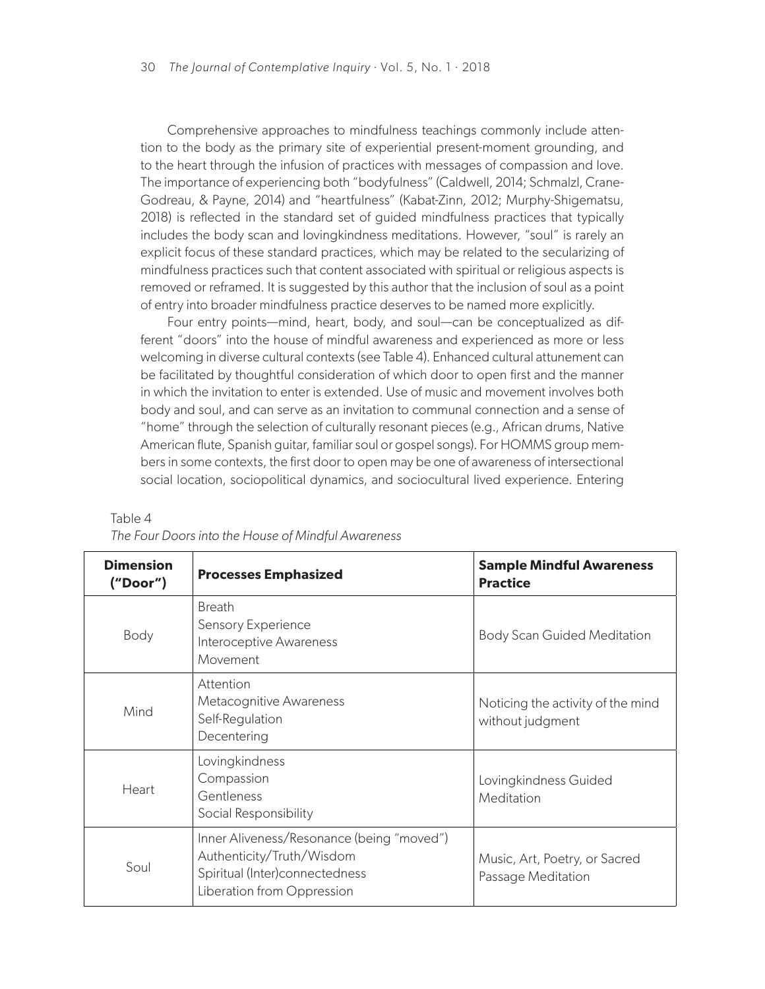Comprehensive approaches to mindfulness teachings commonly include attention to the body as the primary site of experiential present-moment grounding, and to the heart through the infusion of practices with messages of compassion and love. The importance of experiencing both "bodyfulness" (Caldwell, 2014; Schmalzl, Crane-Godreau, & Payne, 2014) and "heartfulness" (Kabat-Zinn, 2012; Murphy-Shigematsu, 2018) is reflected in the standard set of guided mindfulness practices that typically includes the body scan and lovingkindness meditations. However, "soul" is rarely an explicit focus of these standard practices, which may be related to the secularizing of mindfulness practices such that content associated with spiritual or religious aspects is removed or reframed. It is suggested by this author that the inclusion of soul as a point of entry into broader mindfulness practice deserves to be named more explicitly.

Four entry points—mind, heart, body, and soul—can be conceptualized as different "doors" into the house of mindful awareness and experienced as more or less welcoming in diverse cultural contexts (see Table 4). Enhanced cultural attunement can be facilitated by thoughtful consideration of which door to open first and the manner in which the invitation to enter is extended. Use of music and movement involves both body and soul, and can serve as an invitation to communal connection and a sense of "home" through the selection of culturally resonant pieces (e.g., African drums, Native American flute, Spanish guitar, familiar soul or gospel songs). For HOMMS group members in some contexts, the first door to open may be one of awareness of intersectional social location, sociopolitical dynamics, and sociocultural lived experience. Entering

| <b>Dimension</b><br>("Door") | <b>Processes Emphasized</b>                                                                                                            | <b>Sample Mindful Awareness</b><br><b>Practice</b>    |
|------------------------------|----------------------------------------------------------------------------------------------------------------------------------------|-------------------------------------------------------|
| Body                         | <b>Breath</b><br>Sensory Experience<br>Interoceptive Awareness<br>Movement                                                             | <b>Body Scan Guided Meditation</b>                    |
| Mind                         | Attention<br>Metacognitive Awareness<br>Self-Regulation<br>Decentering                                                                 | Noticing the activity of the mind<br>without judgment |
| Heart                        | Lovingkindness<br>Compassion<br>Gentleness<br>Social Responsibility                                                                    | Lovingkindness Guided<br>Meditation                   |
| Soul                         | Inner Aliveness/Resonance (being "moved")<br>Authenticity/Truth/Wisdom<br>Spiritual (Inter)connectedness<br>Liberation from Oppression | Music, Art, Poetry, or Sacred<br>Passage Meditation   |

## Table 4

*The Four Doors into the House of Mindful Awareness*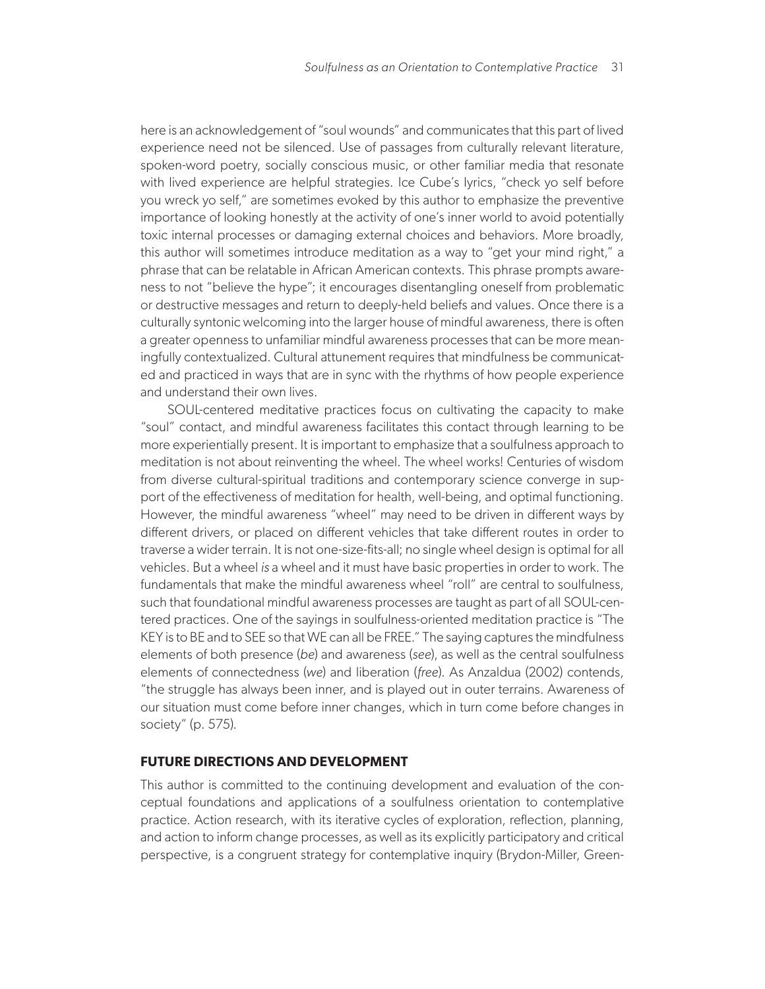here is an acknowledgement of "soul wounds" and communicates that this part of lived experience need not be silenced. Use of passages from culturally relevant literature, spoken-word poetry, socially conscious music, or other familiar media that resonate with lived experience are helpful strategies. Ice Cube's lyrics, "check yo self before you wreck yo self," are sometimes evoked by this author to emphasize the preventive importance of looking honestly at the activity of one's inner world to avoid potentially toxic internal processes or damaging external choices and behaviors. More broadly, this author will sometimes introduce meditation as a way to "get your mind right," a phrase that can be relatable in African American contexts. This phrase prompts awareness to not "believe the hype"; it encourages disentangling oneself from problematic or destructive messages and return to deeply-held beliefs and values. Once there is a culturally syntonic welcoming into the larger house of mindful awareness, there is often a greater openness to unfamiliar mindful awareness processes that can be more meaningfully contextualized. Cultural attunement requires that mindfulness be communicated and practiced in ways that are in sync with the rhythms of how people experience and understand their own lives.

SOUL-centered meditative practices focus on cultivating the capacity to make "soul" contact, and mindful awareness facilitates this contact through learning to be more experientially present. It is important to emphasize that a soulfulness approach to meditation is not about reinventing the wheel. The wheel works! Centuries of wisdom from diverse cultural-spiritual traditions and contemporary science converge in support of the effectiveness of meditation for health, well-being, and optimal functioning. However, the mindful awareness "wheel" may need to be driven in different ways by different drivers, or placed on different vehicles that take different routes in order to traverse a wider terrain. It is not one-size-fits-all; no single wheel design is optimal for all vehicles. But a wheel *is* a wheel and it must have basic properties in order to work. The fundamentals that make the mindful awareness wheel "roll" are central to soulfulness, such that foundational mindful awareness processes are taught as part of all SOUL-centered practices. One of the sayings in soulfulness-oriented meditation practice is "The KEY is to BE and to SEE so that WE can all be FREE." The saying captures the mindfulness elements of both presence (*be*) and awareness (*see*), as well as the central soulfulness elements of connectedness (*we*) and liberation (*free*). As Anzaldua (2002) contends, "the struggle has always been inner, and is played out in outer terrains. Awareness of our situation must come before inner changes, which in turn come before changes in society" (p. 575).

# **FUTURE DIRECTIONS AND DEVELOPMENT**

This author is committed to the continuing development and evaluation of the conceptual foundations and applications of a soulfulness orientation to contemplative practice. Action research, with its iterative cycles of exploration, reflection, planning, and action to inform change processes, as well as its explicitly participatory and critical perspective, is a congruent strategy for contemplative inquiry (Brydon-Miller, Green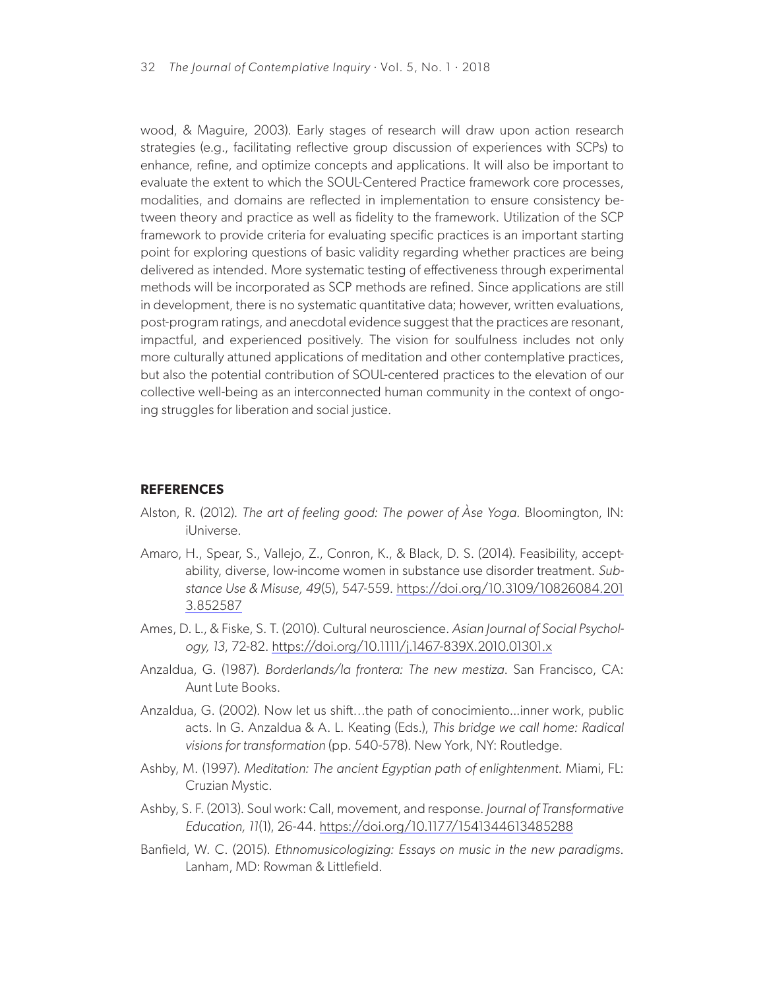wood, & Maguire, 2003). Early stages of research will draw upon action research strategies (e.g., facilitating reflective group discussion of experiences with SCPs) to enhance, refine, and optimize concepts and applications. It will also be important to evaluate the extent to which the SOUL-Centered Practice framework core processes, modalities, and domains are reflected in implementation to ensure consistency between theory and practice as well as fidelity to the framework. Utilization of the SCP framework to provide criteria for evaluating specific practices is an important starting point for exploring questions of basic validity regarding whether practices are being delivered as intended. More systematic testing of effectiveness through experimental methods will be incorporated as SCP methods are refined. Since applications are still in development, there is no systematic quantitative data; however, written evaluations, post-program ratings, and anecdotal evidence suggest that the practices are resonant, impactful, and experienced positively. The vision for soulfulness includes not only more culturally attuned applications of meditation and other contemplative practices, but also the potential contribution of SOUL-centered practices to the elevation of our collective well-being as an interconnected human community in the context of ongoing struggles for liberation and social justice.

## **REFERENCES**

- Alston, R. (2012). *The art of feeling good: The power of Àse Yoga.* Bloomington, IN: iUniverse.
- Amaro, H., Spear, S., Vallejo, Z., Conron, K., & Black, D. S. (2014). Feasibility, acceptability, diverse, low-income women in substance use disorder treatment. *Substance Use & Misuse, 49*(5), 547-559. [https://doi.org/10.3109/10826084.201](https://doi.org/10.3109/10826084.2013.852587) [3.852587](https://doi.org/10.3109/10826084.2013.852587)
- Ames, D. L., & Fiske, S. T. (2010). Cultural neuroscience. *Asian Journal of Social Psychology, 13*, 72-82. <https://doi.org/10.1111/j.1467-839X.2010.01301.x>
- Anzaldua, G. (1987). *Borderlands/la frontera: The new mestiza*. San Francisco, CA: Aunt Lute Books.
- Anzaldua, G. (2002). Now let us shift…the path of conocimiento...inner work, public acts. In G. Anzaldua & A. L. Keating (Eds.), *This bridge we call home: Radical visions for transformation* (pp. 540-578). New York, NY: Routledge.
- Ashby, M. (1997). *Meditation: The ancient Egyptian path of enlightenment.* Miami, FL: Cruzian Mystic.
- Ashby, S. F. (2013). Soul work: Call, movement, and response. *Journal of Transformative Education, 11*(1), 26-44. <https://doi.org/10.1177/1541344613485288>
- Banfield, W. C. (2015). *Ethnomusicologizing: Essays on music in the new paradigms*. Lanham, MD: Rowman & Littlefield.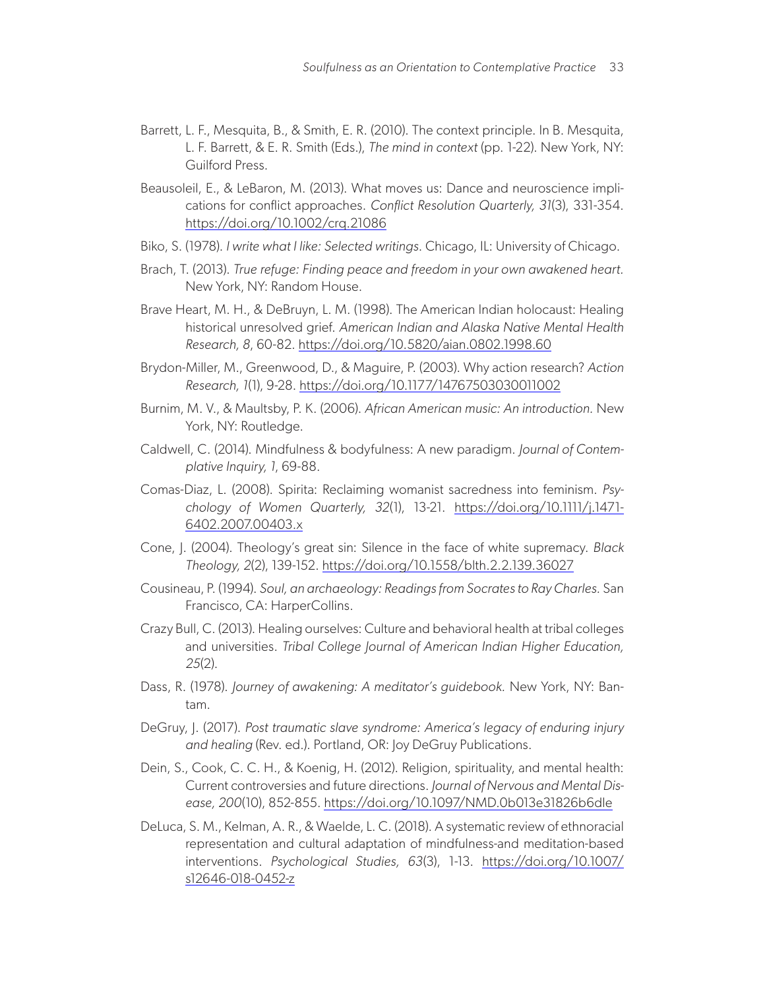- Barrett, L. F., Mesquita, B., & Smith, E. R. (2010). The context principle. In B. Mesquita, L. F. Barrett, & E. R. Smith (Eds.), *The mind in context* (pp. 1-22). New York, NY: Guilford Press.
- Beausoleil, E., & LeBaron, M. (2013). What moves us: Dance and neuroscience implications for conflict approaches. *Conflict Resolution Quarterly, 31*(3), 331-354. <https://doi.org/10.1002/crq.21086>
- Biko, S. (1978). *I write what I like: Selected writings*. Chicago, IL: University of Chicago.
- Brach, T. (2013). *True refuge: Finding peace and freedom in your own awakened heart.* New York, NY: Random House.
- Brave Heart, M. H., & DeBruyn, L. M. (1998). The American Indian holocaust: Healing historical unresolved grief. *American Indian and Alaska Native Mental Health Research, 8*, 60-82. <https://doi.org/10.5820/aian.0802.1998.60>
- Brydon-Miller, M., Greenwood, D., & Maguire, P. (2003). Why action research? *Action Research, 1*(1), 9-28. <https://doi.org/10.1177/14767503030011002>
- Burnim, M. V., & Maultsby, P. K. (2006). *African American music: An introduction.* New York, NY: Routledge.
- Caldwell, C. (2014). Mindfulness & bodyfulness: A new paradigm. *Journal of Contemplative Inquiry, 1*, 69-88.
- Comas-Diaz, L. (2008). Spirita: Reclaiming womanist sacredness into feminism. *Psychology of Women Quarterly, 32*(1), 13-21. [https://doi.org/10.1111/j.1471-](https://doi.org/10.1111/j.1471-6402.2007.00403.x) [6402.2007.00403.x](https://doi.org/10.1111/j.1471-6402.2007.00403.x)
- Cone, J. (2004). Theology's great sin: Silence in the face of white supremacy. *Black Theology, 2*(2), 139-152. <https://doi.org/10.1558/blth.2.2.139.36027>
- Cousineau, P. (1994). *Soul, an archaeology: Readings from Socrates to Ray Charles.* San Francisco, CA: HarperCollins.
- Crazy Bull, C. (2013). Healing ourselves: Culture and behavioral health at tribal colleges and universities. *Tribal College Journal of American Indian Higher Education, 25*(2).
- Dass, R. (1978). *Journey of awakening: A meditator's guidebook.* New York, NY: Bantam.
- DeGruy, J. (2017). *Post traumatic slave syndrome: America's legacy of enduring injury and healing* (Rev. ed.). Portland, OR: Joy DeGruy Publications.
- Dein, S., Cook, C. C. H., & Koenig, H. (2012). Religion, spirituality, and mental health: Current controversies and future directions. *Journal of Nervous and Mental Disease, 200*(10), 852-855.<https://doi.org/10.1097/NMD.0b013e31826b6dle>
- DeLuca, S. M., Kelman, A. R., & Waelde, L. C. (2018). A systematic review of ethnoracial representation and cultural adaptation of mindfulness-and meditation-based interventions. *Psychological Studies, 63*(3), 1-13. [https://doi.org/10.1007/](https://doi.org/10.1007/s12646-018-0452-z) [s12646-018-0452-z](https://doi.org/10.1007/s12646-018-0452-z)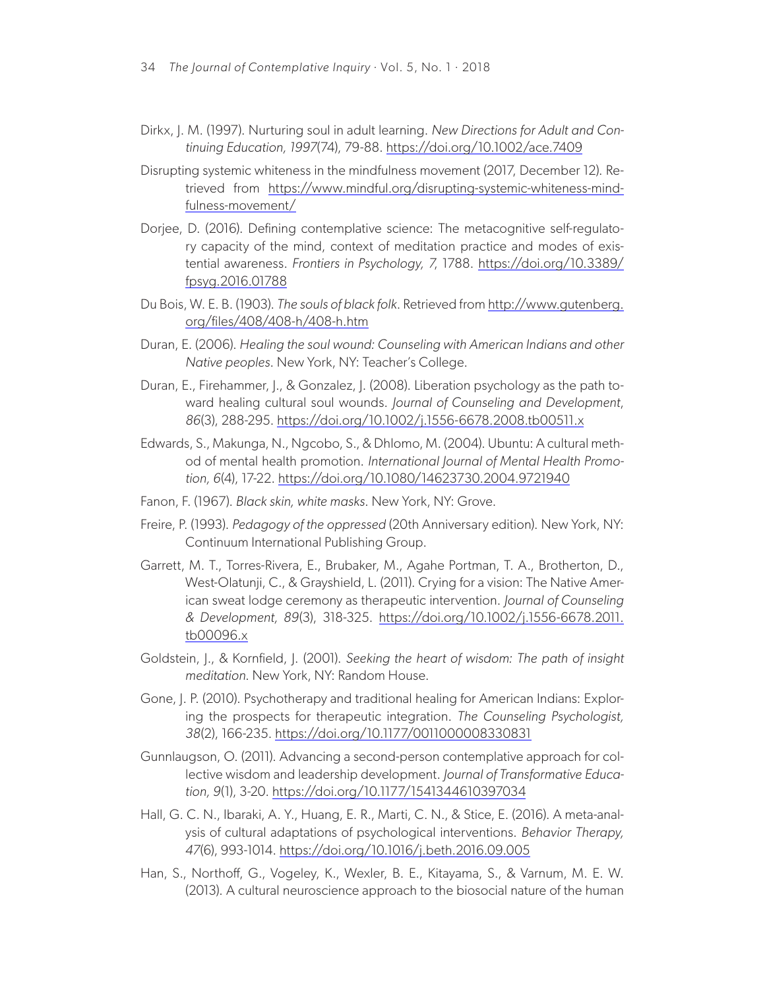- Dirkx, J. M. (1997). Nurturing soul in adult learning. *New Directions for Adult and Continuing Education, 1997*(74), 79-88.<https://doi.org/10.1002/ace.7409>
- Disrupting systemic whiteness in the mindfulness movement (2017, December 12). Retrieved from [https://www.mindful.org/disrupting-systemic-whiteness-mind](https://www.mindful.org/disrupting-systemic-whiteness-mindfulness-movement/)[fulness-movement/](https://www.mindful.org/disrupting-systemic-whiteness-mindfulness-movement/)
- Dorjee, D. (2016). Defining contemplative science: The metacognitive self-regulatory capacity of the mind, context of meditation practice and modes of existential awareness. *Frontiers in Psychology, 7*, 1788. [https://doi.org/10.3389/](https://doi.org/10.3389/fpsyg.2016.01788) [fpsyg.2016.01788](https://doi.org/10.3389/fpsyg.2016.01788)
- Du Bois, W. E. B. (1903). *The souls of black folk*. Retrieved from [http://www.gutenberg.](http://www.gutenberg.org/files/408/408-h/408-h.htm) [org/files/408/408-h/408-h.htm](http://www.gutenberg.org/files/408/408-h/408-h.htm)
- Duran, E. (2006). *Healing the soul wound: Counseling with American Indians and other Native peoples*. New York, NY: Teacher's College.
- Duran, E., Firehammer, J., & Gonzalez, J. (2008). Liberation psychology as the path toward healing cultural soul wounds. *Journal of Counseling and Development*, *86*(3), 288-295. <https://doi.org/10.1002/j.1556-6678.2008.tb00511.x>
- Edwards, S., Makunga, N., Ngcobo, S., & Dhlomo, M. (2004). Ubuntu: A cultural method of mental health promotion. *International Journal of Mental Health Promotion, 6*(4), 17-22. <https://doi.org/10.1080/14623730.2004.9721940>
- Fanon, F. (1967). *Black skin, white masks*. New York, NY: Grove.
- Freire, P. (1993). *Pedagogy of the oppressed* (20th Anniversary edition). New York, NY: Continuum International Publishing Group.
- Garrett, M. T., Torres-Rivera, E., Brubaker, M., Agahe Portman, T. A., Brotherton, D., West-Olatunji, C., & Grayshield, L. (2011). Crying for a vision: The Native American sweat lodge ceremony as therapeutic intervention. *Journal of Counseling & Development, 89*(3), 318-325. [https://doi.org/10.1002/j.1556-6678.2011.](https://doi.org/10.1002/j.1556-6678.2011.tb00096.x) [tb00096.x](https://doi.org/10.1002/j.1556-6678.2011.tb00096.x)
- Goldstein, J., & Kornfield, J. (2001). *Seeking the heart of wisdom: The path of insight meditation*. New York, NY: Random House.
- Gone, J. P. (2010). Psychotherapy and traditional healing for American Indians: Exploring the prospects for therapeutic integration. *The Counseling Psychologist, 38*(2), 166-235.<https://doi.org/10.1177/0011000008330831>
- Gunnlaugson, O. (2011). Advancing a second-person contemplative approach for collective wisdom and leadership development. *Journal of Transformative Education, 9*(1), 3-20. <https://doi.org/10.1177/1541344610397034>
- Hall, G. C. N., Ibaraki, A. Y., Huang, E. R., Marti, C. N., & Stice, E. (2016). A meta-analysis of cultural adaptations of psychological interventions. *Behavior Therapy, 47*(6), 993-1014. <https://doi.org/10.1016/j.beth.2016.09.005>
- Han, S., Northoff, G., Vogeley, K., Wexler, B. E., Kitayama, S., & Varnum, M. E. W. (2013). A cultural neuroscience approach to the biosocial nature of the human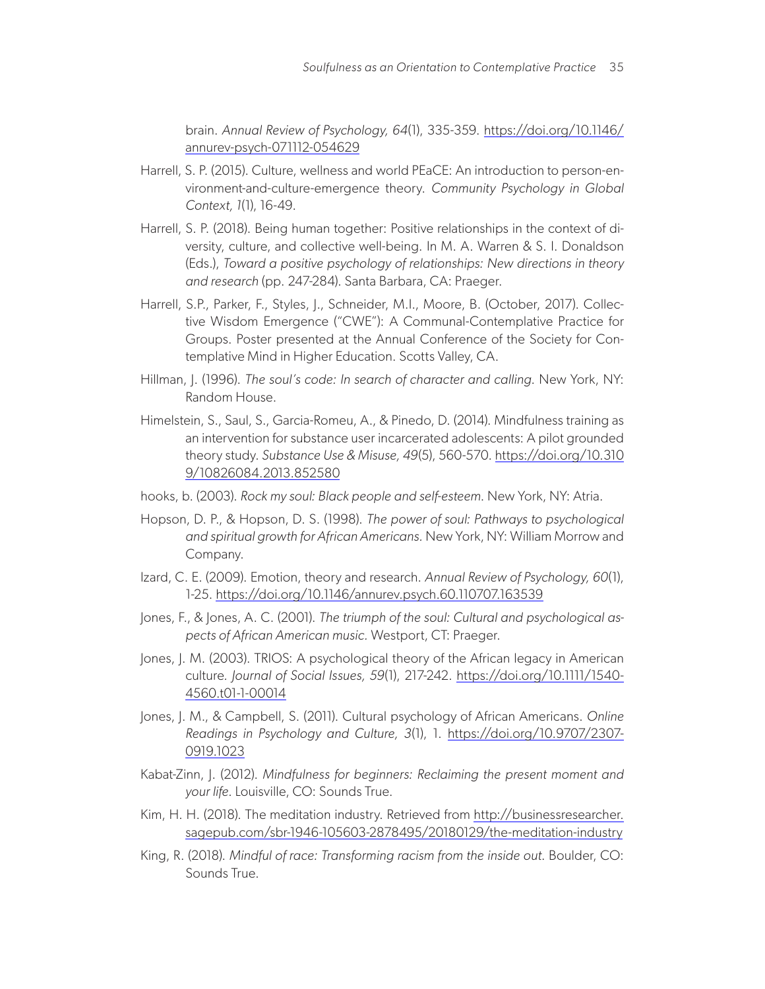brain. *Annual Review of Psychology, 64*(1), 335-359. [https://doi.org/10.1146/](https://doi.org/10.1146/annurev-psych-071112-054629) [annurev-psych-071112-054629](https://doi.org/10.1146/annurev-psych-071112-054629)

- Harrell, S. P. (2015). Culture, wellness and world PEaCE: An introduction to person-environment-and-culture-emergence theory. *Community Psychology in Global Context, 1*(1), 16-49.
- Harrell, S. P. (2018). Being human together: Positive relationships in the context of diversity, culture, and collective well-being. In M. A. Warren & S. I. Donaldson (Eds.), *Toward a positive psychology of relationships: New directions in theory and research* (pp. 247-284). Santa Barbara, CA: Praeger.
- Harrell, S.P., Parker, F., Styles, J., Schneider, M.I., Moore, B. (October, 2017). Collective Wisdom Emergence ("CWE"): A Communal-Contemplative Practice for Groups. Poster presented at the Annual Conference of the Society for Contemplative Mind in Higher Education. Scotts Valley, CA.
- Hillman, J. (1996). *The soul's code: In search of character and calling*. New York, NY: Random House.
- Himelstein, S., Saul, S., Garcia-Romeu, A., & Pinedo, D. (2014). Mindfulness training as an intervention for substance user incarcerated adolescents: A pilot grounded theory study. *Substance Use & Misuse, 49*(5), 560-570. [https://doi.org/10.310](https://doi.org/10.3109/10826084.2013.852580) [9/10826084.2013.852580](https://doi.org/10.3109/10826084.2013.852580)
- hooks, b. (2003). *Rock my soul: Black people and self-esteem*. New York, NY: Atria.
- Hopson, D. P., & Hopson, D. S. (1998). *The power of soul: Pathways to psychological and spiritual growth for African Americans.* New York, NY: William Morrow and Company.
- Izard, C. E. (2009). Emotion, theory and research. *Annual Review of Psychology, 60*(1), 1-25. <https://doi.org/10.1146/annurev.psych.60.110707.163539>
- Jones, F., & Jones, A. C. (2001). *The triumph of the soul: Cultural and psychological aspects of African American music.* Westport, CT: Praeger.
- Jones, J. M. (2003). TRIOS: A psychological theory of the African legacy in American culture*. Journal of Social Issues, 59*(1), 217-242. [https://doi.org/10.1111/1540-](https://doi.org/10.1111/1540-4560.t01-1-00014) [4560.t01-1-00014](https://doi.org/10.1111/1540-4560.t01-1-00014)
- Jones, J. M., & Campbell, S. (2011). Cultural psychology of African Americans. *Online Readings in Psychology and Culture, 3*(1), 1. [https://doi.org/10.9707/2307-](https://doi.org/10.9707/2307-0919.1023) [0919.1023](https://doi.org/10.9707/2307-0919.1023)
- Kabat-Zinn, J. (2012). *Mindfulness for beginners: Reclaiming the present moment and your life*. Louisville, CO: Sounds True.
- Kim, H. H. (2018). The meditation industry. Retrieved from [http://businessresearcher.](http://businessresearcher.sagepub.com/sbr-1946-105603-2878495/20180129/the-meditation-industry) [sagepub.com/sbr-1946-105603-2878495/20180129/the-meditation-industry](http://businessresearcher.sagepub.com/sbr-1946-105603-2878495/20180129/the-meditation-industry)
- King, R. (2018). *Mindful of race: Transforming racism from the inside out*. Boulder, CO: Sounds True.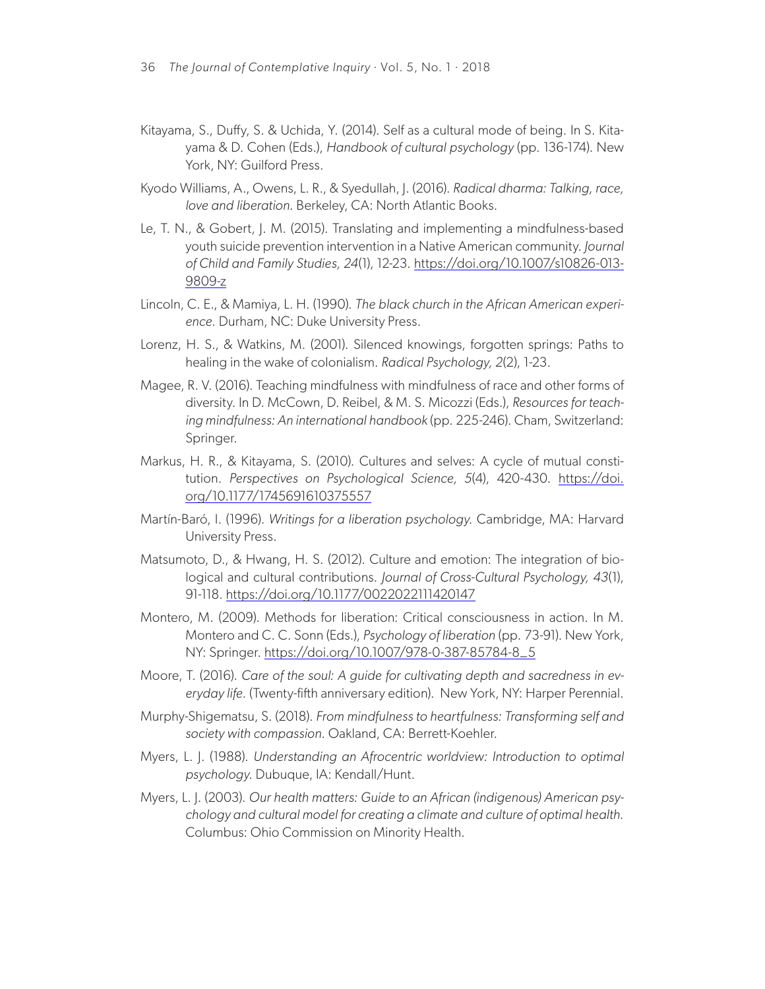- Kitayama, S., Duffy, S. & Uchida, Y. (2014). Self as a cultural mode of being. In S. Kitayama & D. Cohen (Eds.), *Handbook of cultural psychology* (pp. 136-174). New York, NY: Guilford Press.
- Kyodo Williams, A., Owens, L. R., & Syedullah, J. (2016). *Radical dharma: Talking, race, love and liberation*. Berkeley, CA: North Atlantic Books.
- Le, T. N., & Gobert, J. M. (2015). Translating and implementing a mindfulness-based youth suicide prevention intervention in a Native American community. *Journal of Child and Family Studies, 24*(1), 12-23. [https://doi.org/10.1007/s10826-013-](https://doi.org/10.1007/s10826-013-9809-z) [9809-z](https://doi.org/10.1007/s10826-013-9809-z)
- Lincoln, C. E., & Mamiya, L. H. (1990). *The black church in the African American experience*. Durham, NC: Duke University Press.
- Lorenz, H. S., & Watkins, M. (2001). Silenced knowings, forgotten springs: Paths to healing in the wake of colonialism. *Radical Psychology, 2*(2), 1-23.
- Magee, R. V. (2016). Teaching mindfulness with mindfulness of race and other forms of diversity. In D. McCown, D. Reibel, & M. S. Micozzi (Eds.), *Resources for teaching mindfulness: An international handbook* (pp. 225-246). Cham, Switzerland: Springer.
- Markus, H. R., & Kitayama, S. (2010). Cultures and selves: A cycle of mutual constitution. *Perspectives on Psychological Science, 5*(4), 420-430. [https://doi.](https://doi.org/10.1177/1745691610375557) [org/10.1177/1745691610375557](https://doi.org/10.1177/1745691610375557)
- Martín-Baró, I. (1996). *Writings for a liberation psychology.* Cambridge, MA: Harvard University Press.
- Matsumoto, D., & Hwang, H. S. (2012). Culture and emotion: The integration of biological and cultural contributions. *Journal of Cross-Cultural Psychology, 43*(1), 91-118. <https://doi.org/10.1177/0022022111420147>
- Montero, M. (2009). Methods for liberation: Critical consciousness in action. In M. Montero and C. C. Sonn (Eds.), *Psychology of liberation* (pp. 73-91). New York, NY: Springer. [https://doi.org/10.1007/978-0-387-85784-8\\_5](https://doi.org/10.1007/978-0-387-85784-8_5)
- Moore, T. (2016). *Care of the soul: A guide for cultivating depth and sacredness in everyday life.* (Twenty-fifth anniversary edition). New York, NY: Harper Perennial.
- Murphy-Shigematsu, S. (2018). *From mindfulness to heartfulness: Transforming self and society with compassion*. Oakland, CA: Berrett-Koehler.
- Myers, L. J. (1988). *Understanding an Afrocentric worldview: Introduction to optimal psychology*. Dubuque, IA: Kendall/Hunt.
- Myers, L. J. (2003). *Our health matters: Guide to an African (indigenous) American psychology and cultural model for creating a climate and culture of optimal health.*  Columbus: Ohio Commission on Minority Health.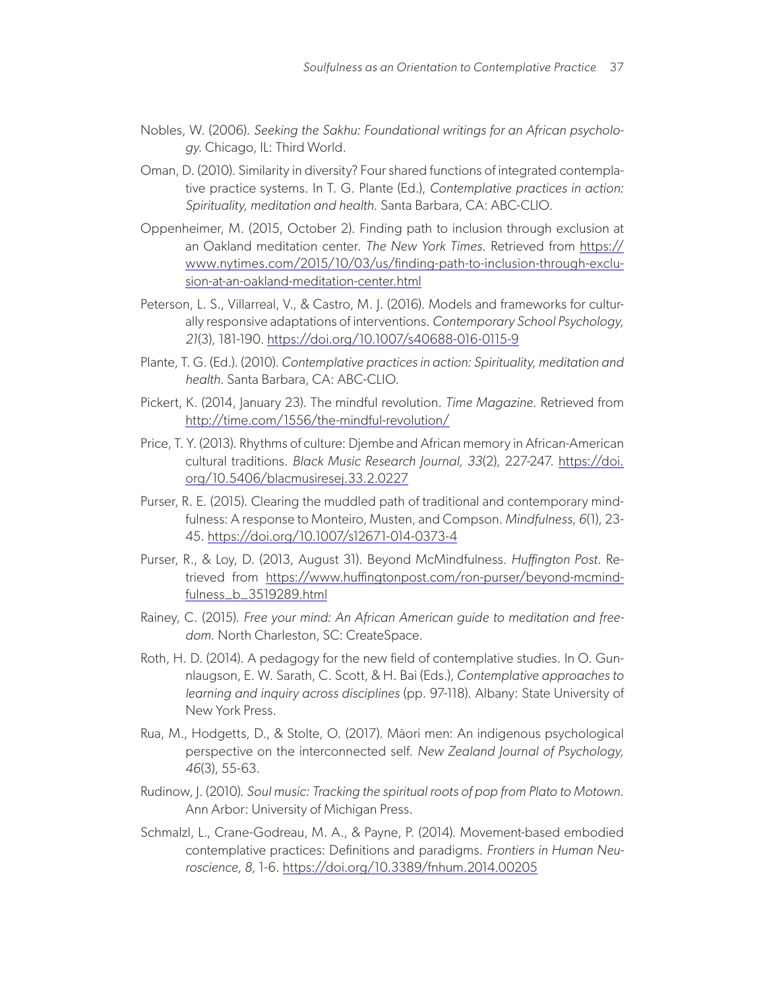- Nobles, W. (2006). *Seeking the Sakhu: Foundational writings for an African psychology*. Chicago, IL: Third World.
- Oman, D. (2010). Similarity in diversity? Four shared functions of integrated contemplative practice systems. In T. G. Plante (Ed.), *Contemplative practices in action: Spirituality, meditation and health*. Santa Barbara, CA: ABC-CLIO.
- Oppenheimer, M. (2015, October 2). Finding path to inclusion through exclusion at an Oakland meditation center. *The New York Times*. Retrieved from [https://](https://www.nytimes.com/2015/10/03/us/finding-path-to-inclusion-through-exclusion-at-an-oakland-meditation-center.html) [www.nytimes.com/2015/10/03/us/finding-path-to-inclusion-through-exclu](https://www.nytimes.com/2015/10/03/us/finding-path-to-inclusion-through-exclusion-at-an-oakland-meditation-center.html)[sion-at-an-oakland-meditation-center.html](https://www.nytimes.com/2015/10/03/us/finding-path-to-inclusion-through-exclusion-at-an-oakland-meditation-center.html)
- Peterson, L. S., Villarreal, V., & Castro, M. J. (2016). Models and frameworks for culturally responsive adaptations of interventions. *Contemporary School Psychology, 21*(3), 181-190. <https://doi.org/10.1007/s40688-016-0115-9>
- Plante, T. G. (Ed.). (2010). *Contemplative practices in action: Spirituality, meditation and health*. Santa Barbara, CA: ABC-CLIO.
- Pickert, K. (2014, January 23). The mindful revolution. *Time Magazine*. Retrieved from <http://time.com/1556/the-mindful-revolution/>
- Price, T. Y. (2013). Rhythms of culture: Djembe and African memory in African-American cultural traditions. *Black Music Research Journal, 33*(2), 227-247. [https://doi.](https://doi.org/10.5406/blacmusiresej.33.2.0227) [org/10.5406/blacmusiresej.33.2.0227](https://doi.org/10.5406/blacmusiresej.33.2.0227)
- Purser, R. E. (2015). Clearing the muddled path of traditional and contemporary mindfulness: A response to Monteiro, Musten, and Compson. *Mindfulness, 6*(1), 23- 45.<https://doi.org/10.1007/s12671-014-0373-4>
- Purser, R., & Loy, D. (2013, August 31). Beyond McMindfulness. *Huffington Post*. Retrieved from [https://www.huffingtonpost.com/ron-purser/beyond-mcmind](https://www.huffingtonpost.com/ron-purser/beyond-mcmindfulness_b_3519289.html)[fulness\\_b\\_3519289.html](https://www.huffingtonpost.com/ron-purser/beyond-mcmindfulness_b_3519289.html)
- Rainey, C. (2015). *Free your mind: An African American guide to meditation and freedom.* North Charleston, SC: CreateSpace.
- Roth, H. D. (2014). A pedagogy for the new field of contemplative studies. In O. Gunnlaugson, E. W. Sarath, C. Scott, & H. Bai (Eds.), *Contemplative approaches to learning and inquiry across disciplines* (pp. 97-118). Albany: State University of New York Press.
- Rua, M., Hodgetts, D., & Stolte, O. (2017). Māori men: An indigenous psychological perspective on the interconnected self. *New Zealand Journal of Psychology, 46*(3), 55-63.
- Rudinow, J. (2010). *Soul music: Tracking the spiritual roots of pop from Plato to Motown*. Ann Arbor: University of Michigan Press.
- Schmalzl, L., Crane-Godreau, M. A., & Payne, P. (2014). Movement-based embodied contemplative practices: Definitions and paradigms. *Frontiers in Human Neuroscience, 8*, 1-6.<https://doi.org/10.3389/fnhum.2014.00205>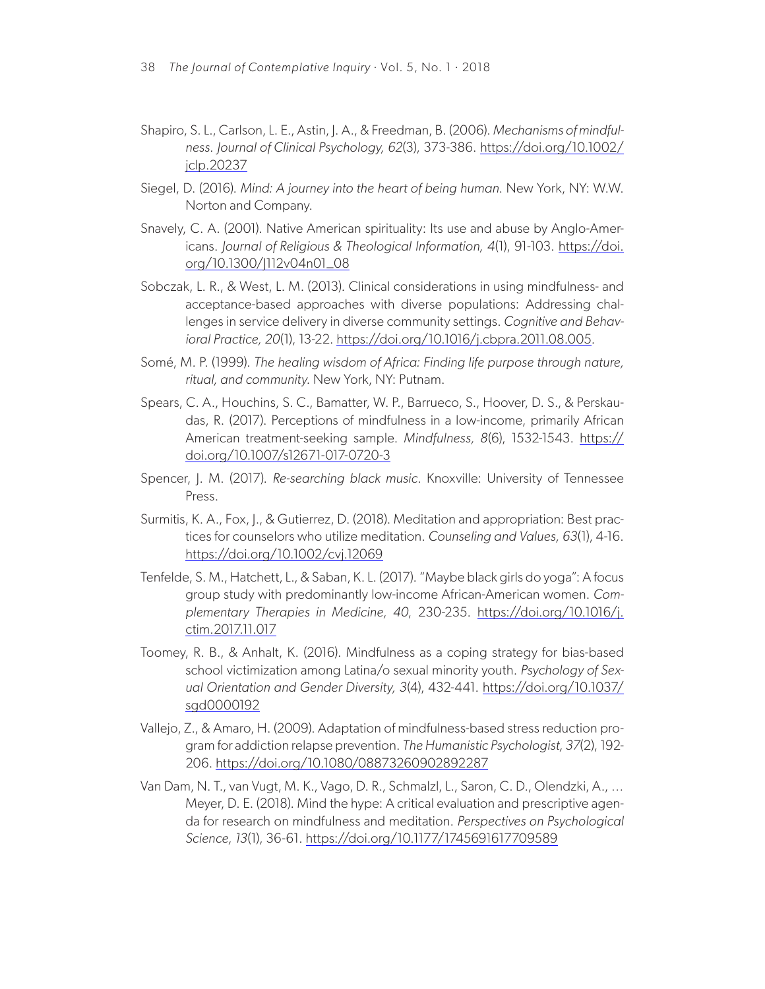- Shapiro, S. L., Carlson, L. E., Astin, J. A., & Freedman, B. (2006). *Mechanisms of mindfulness. Journal of Clinical Psychology, 62*(3), 373-386. [https://doi.org/10.1002/](https://doi.org/10.1002/jclp.20237) [jclp.20237](https://doi.org/10.1002/jclp.20237)
- Siegel, D. (2016). *Mind: A journey into the heart of being human*. New York, NY: W.W. Norton and Company.
- Snavely, C. A. (2001). Native American spirituality: Its use and abuse by Anglo-Americans. *Journal of Religious & Theological Information, 4*(1), 91-103. [https://doi.](https://doi.org/10.1300/J112v04n01_08) [org/10.1300/J112v04n01\\_08](https://doi.org/10.1300/J112v04n01_08)
- Sobczak, L. R., & West, L. M. (2013). Clinical considerations in using mindfulness- and acceptance-based approaches with diverse populations: Addressing challenges in service delivery in diverse community settings. *Cognitive and Behavioral Practice, 20*(1), 13-22. <https://doi.org/10.1016/j.cbpra.2011.08.005>.
- Somé, M. P. (1999). *The healing wisdom of Africa: Finding life purpose through nature, ritual, and community*. New York, NY: Putnam.
- Spears, C. A., Houchins, S. C., Bamatter, W. P., Barrueco, S., Hoover, D. S., & Perskaudas, R. (2017). Perceptions of mindfulness in a low-income, primarily African American treatment-seeking sample. *Mindfulness, 8*(6), 1532-1543. [https://](https://doi.org/10.1007/s12671-017-0720-3) [doi.org/10.1007/s12671-017-0720-3](https://doi.org/10.1007/s12671-017-0720-3)
- Spencer, J. M. (2017). *Re-searching black music*. Knoxville: University of Tennessee Press.
- Surmitis, K. A., Fox, J., & Gutierrez, D. (2018). Meditation and appropriation: Best practices for counselors who utilize meditation. *Counseling and Values, 63*(1), 4-16. <https://doi.org/10.1002/cvj.12069>
- Tenfelde, S. M., Hatchett, L., & Saban, K. L. (2017). "Maybe black girls do yoga": A focus group study with predominantly low-income African-American women. *Complementary Therapies in Medicine, 40*, 230-235. [https://doi.org/10.1016/j.](https://doi.org/10.1016/j.ctim.2017.11.017) [ctim.2017.11.017](https://doi.org/10.1016/j.ctim.2017.11.017)
- Toomey, R. B., & Anhalt, K. (2016). Mindfulness as a coping strategy for bias-based school victimization among Latina/o sexual minority youth. *Psychology of Sexual Orientation and Gender Diversity, 3*(4), 432-441. [https://doi.org/10.1037/](https://doi.org/10.1037/sgd0000192) [sgd0000192](https://doi.org/10.1037/sgd0000192)
- Vallejo, Z., & Amaro, H. (2009). Adaptation of mindfulness-based stress reduction program for addiction relapse prevention. *The Humanistic Psychologist, 37*(2), 192- 206. <https://doi.org/10.1080/08873260902892287>
- Van Dam, N. T., van Vugt, M. K., Vago, D. R., Schmalzl, L., Saron, C. D., Olendzki, A., … Meyer, D. E. (2018). Mind the hype: A critical evaluation and prescriptive agenda for research on mindfulness and meditation. *Perspectives on Psychological Science, 13*(1), 36-61. <https://doi.org/10.1177/1745691617709589>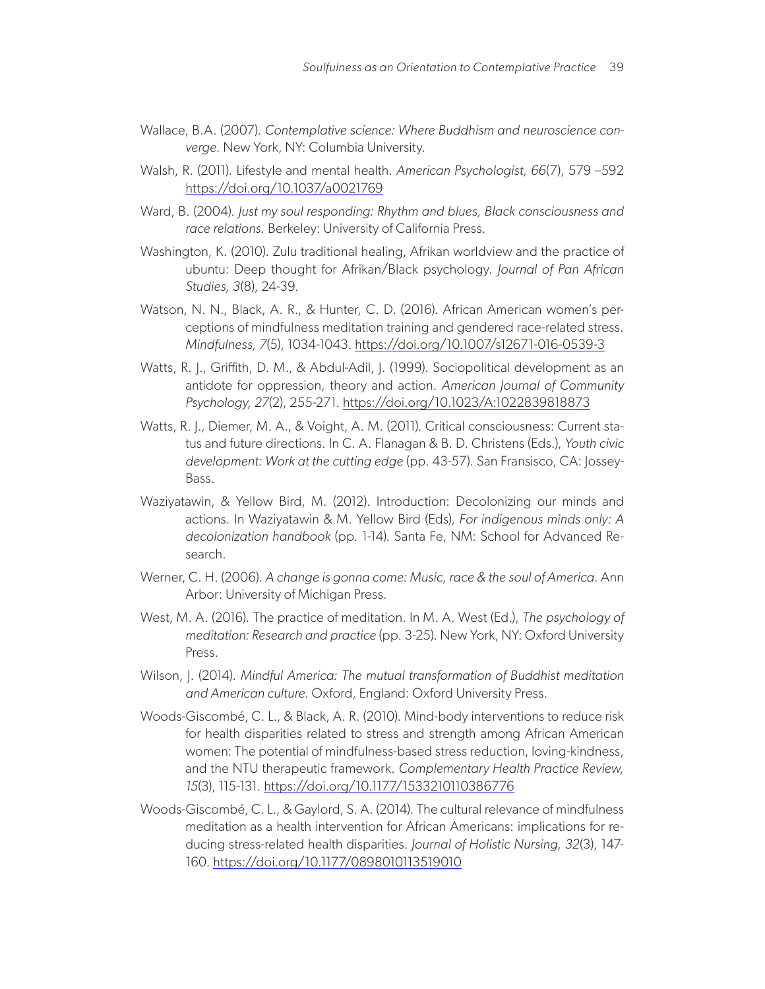- Wallace, B.A. (2007). *Contemplative science: Where Buddhism and neuroscience converge.* New York, NY: Columbia University.
- Walsh, R. (2011). Lifestyle and mental health. *American Psychologist, 66*(7), 579 –592 <https://doi.org/10.1037/a0021769>
- Ward, B. (2004). *Just my soul responding: Rhythm and blues, Black consciousness and race relations.* Berkeley: University of California Press.
- Washington, K. (2010). Zulu traditional healing, Afrikan worldview and the practice of ubuntu: Deep thought for Afrikan/Black psychology. *Journal of Pan African Studies, 3*(8), 24-39.
- Watson, N. N., Black, A. R., & Hunter, C. D. (2016). African American women's perceptions of mindfulness meditation training and gendered race-related stress. *Mindfulness, 7*(5), 1034-1043.<https://doi.org/10.1007/s12671-016-0539-3>
- Watts, R. J., Griffith, D. M., & Abdul-Adil, J. (1999). Sociopolitical development as an antidote for oppression, theory and action. *American Journal of Community Psychology, 27*(2), 255-271. <https://doi.org/10.1023/A:1022839818873>
- Watts, R. J., Diemer, M. A., & Voight, A. M. (2011). Critical consciousness: Current status and future directions. In C. A. Flanagan & B. D. Christens (Eds.), *Youth civic development: Work at the cutting edge* (pp. 43-57). San Fransisco, CA: Jossey-Bass.
- Waziyatawin, & Yellow Bird, M. (2012). Introduction: Decolonizing our minds and actions. In Waziyatawin & M. Yellow Bird (Eds), *For indigenous minds only: A decolonization handbook* (pp. 1-14). Santa Fe, NM: School for Advanced Research.
- Werner, C. H. (2006). *A change is gonna come: Music, race & the soul of America*. Ann Arbor: University of Michigan Press.
- West, M. A. (2016). The practice of meditation. In M. A. West (Ed.), *The psychology of meditation: Research and practice* (pp. 3-25). New York, NY: Oxford University Press.
- Wilson, J. (2014). *Mindful America: The mutual transformation of Buddhist meditation and American culture*. Oxford, England: Oxford University Press.
- Woods-Giscombé, C. L., & Black, A. R. (2010). Mind-body interventions to reduce risk for health disparities related to stress and strength among African American women: The potential of mindfulness-based stress reduction, loving-kindness, and the NTU therapeutic framework. *Complementary Health Practice Review, 15*(3), 115-131.<https://doi.org/10.1177/1533210110386776>
- Woods-Giscombé, C. L., & Gaylord, S. A. (2014). The cultural relevance of mindfulness meditation as a health intervention for African Americans: implications for reducing stress-related health disparities. *Journal of Holistic Nursing, 32*(3), 147- 160. <https://doi.org/10.1177/0898010113519010>